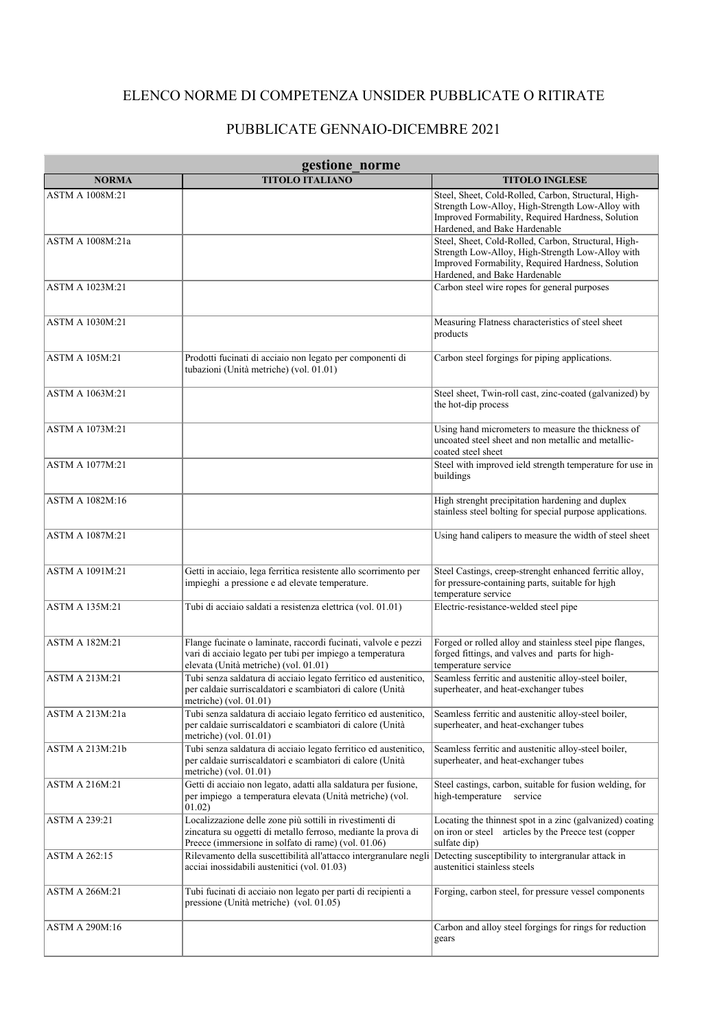## ELENCO NORME DI COMPETENZA UNSIDER PUBBLICATE O RITIRATE

## PUBBLICATE GENNAIO-DICEMBRE 2021

| gestione norme         |                                                                                                                                                                                  |                                                                                                                                                                                                |
|------------------------|----------------------------------------------------------------------------------------------------------------------------------------------------------------------------------|------------------------------------------------------------------------------------------------------------------------------------------------------------------------------------------------|
| <b>NORMA</b>           | <b>TITOLO ITALIANO</b>                                                                                                                                                           | <b>TITOLO INGLESE</b>                                                                                                                                                                          |
| <b>ASTM A 1008M:21</b> |                                                                                                                                                                                  | Steel, Sheet, Cold-Rolled, Carbon, Structural, High-<br>Strength Low-Alloy, High-Strength Low-Alloy with<br>Improved Formability, Required Hardness, Solution<br>Hardened, and Bake Hardenable |
| ASTM A 1008M:21a       |                                                                                                                                                                                  | Steel, Sheet, Cold-Rolled, Carbon, Structural, High-<br>Strength Low-Alloy, High-Strength Low-Alloy with<br>Improved Formability, Required Hardness, Solution<br>Hardened, and Bake Hardenable |
| <b>ASTM A 1023M:21</b> |                                                                                                                                                                                  | Carbon steel wire ropes for general purposes                                                                                                                                                   |
| <b>ASTM A 1030M:21</b> |                                                                                                                                                                                  | Measuring Flatness characteristics of steel sheet<br>products                                                                                                                                  |
| <b>ASTM A 105M:21</b>  | Prodotti fucinati di acciaio non legato per componenti di<br>tubazioni (Unità metriche) (vol. 01.01)                                                                             | Carbon steel forgings for piping applications.                                                                                                                                                 |
| ASTM A 1063M:21        |                                                                                                                                                                                  | Steel sheet, Twin-roll cast, zinc-coated (galvanized) by<br>the hot-dip process                                                                                                                |
| <b>ASTM A 1073M:21</b> |                                                                                                                                                                                  | Using hand micrometers to measure the thickness of<br>uncoated steel sheet and non metallic and metallic-<br>coated steel sheet                                                                |
| <b>ASTM A 1077M:21</b> |                                                                                                                                                                                  | Steel with improved ield strength temperature for use in<br>buildings                                                                                                                          |
| ASTM A 1082M:16        |                                                                                                                                                                                  | High strenght precipitation hardening and duplex<br>stainless steel bolting for special purpose applications.                                                                                  |
| <b>ASTM A 1087M:21</b> |                                                                                                                                                                                  | Using hand calipers to measure the width of steel sheet                                                                                                                                        |
| <b>ASTM A 1091M:21</b> | Getti in acciaio, lega ferritica resistente allo scorrimento per<br>impieghi a pressione e ad elevate temperature.                                                               | Steel Castings, creep-strenght enhanced ferritic alloy,<br>for pressure-containing parts, suitable for high<br>temperature service                                                             |
| <b>ASTM A 135M:21</b>  | Tubi di acciaio saldati a resistenza elettrica (vol. 01.01)                                                                                                                      | Electric-resistance-welded steel pipe                                                                                                                                                          |
| <b>ASTM A 182M:21</b>  | Flange fucinate o laminate, raccordi fucinati, valvole e pezzi<br>vari di acciaio legato per tubi per impiego a temperatura<br>elevata (Unità metriche) (vol. 01.01)             | Forged or rolled alloy and stainless steel pipe flanges,<br>forged fittings, and valves and parts for high-<br>temperature service                                                             |
| <b>ASTM A 213M:21</b>  | Tubi senza saldatura di acciaio legato ferritico ed austenitico,<br>per caldaie surriscaldatori e scambiatori di calore (Unità<br>metriche) (vol. $01.01$ )                      | Seamless ferritic and austenitic alloy-steel boiler,<br>superheater, and heat-exchanger tubes                                                                                                  |
| ASTM A 213M:21a        | Tubi senza saldatura di acciaio legato ferritico ed austenitico,<br>per caldaie surriscaldatori e scambiatori di calore (Unità<br>metriche) (vol. $01.01$ )                      | Seamless ferritic and austenitic alloy-steel boiler,<br>superheater, and heat-exchanger tubes                                                                                                  |
| ASTM A 213M:21b        | Tubi senza saldatura di acciaio legato ferritico ed austenitico,<br>per caldaie surriscaldatori e scambiatori di calore (Unità<br>metriche) (vol. 01.01)                         | Seamless ferritic and austenitic alloy-steel boiler,<br>superheater, and heat-exchanger tubes                                                                                                  |
| <b>ASTM A 216M:21</b>  | Getti di acciaio non legato, adatti alla saldatura per fusione,<br>per impiego a temperatura elevata (Unità metriche) (vol.<br>01.02)                                            | Steel castings, carbon, suitable for fusion welding, for<br>high-temperature service                                                                                                           |
| <b>ASTM A 239:21</b>   | Localizzazione delle zone più sottili in rivestimenti di<br>zincatura su oggetti di metallo ferroso, mediante la prova di<br>Preece (immersione in solfato di rame) (vol. 01.06) | Locating the thinnest spot in a zinc (galvanized) coating<br>on iron or steel articles by the Preece test (copper<br>sulfate dip)                                                              |
| <b>ASTM A 262:15</b>   | Rilevamento della suscettibilità all'attacco intergranulare negli<br>acciai inossidabili austenitici (vol. 01.03)                                                                | Detecting susceptibility to intergranular attack in<br>austenitici stainless steels                                                                                                            |
| <b>ASTM A 266M:21</b>  | Tubi fucinati di acciaio non legato per parti di recipienti a<br>pressione (Unità metriche) (vol. 01.05)                                                                         | Forging, carbon steel, for pressure vessel components                                                                                                                                          |
| ASTM A 290M:16         |                                                                                                                                                                                  | Carbon and alloy steel forgings for rings for reduction<br>gears                                                                                                                               |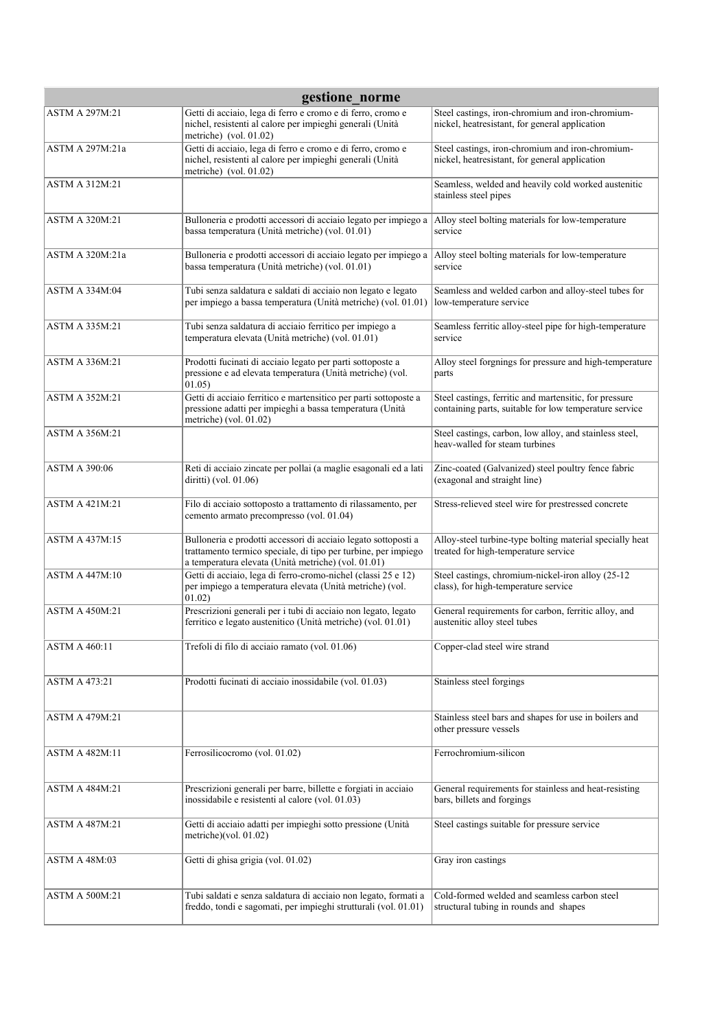| gestione_norme        |                                                                                                                                                                                         |                                                                                                                  |  |
|-----------------------|-----------------------------------------------------------------------------------------------------------------------------------------------------------------------------------------|------------------------------------------------------------------------------------------------------------------|--|
| <b>ASTM A 297M:21</b> | Getti di acciaio, lega di ferro e cromo e di ferro, cromo e<br>nichel, resistenti al calore per impieghi generali (Unità<br>metriche) (vol. $01.02$ )                                   | Steel castings, iron-chromium and iron-chromium-<br>nickel, heatresistant, for general application               |  |
| ASTM A 297M:21a       | Getti di acciaio, lega di ferro e cromo e di ferro, cromo e<br>nichel, resistenti al calore per impieghi generali (Unità<br>metriche) (vol. 01.02)                                      | Steel castings, iron-chromium and iron-chromium-<br>nickel, heatresistant, for general application               |  |
| <b>ASTM A 312M:21</b> |                                                                                                                                                                                         | Seamless, welded and heavily cold worked austenitic<br>stainless steel pipes                                     |  |
| <b>ASTM A 320M:21</b> | Bulloneria e prodotti accessori di acciaio legato per impiego a<br>bassa temperatura (Unità metriche) (vol. 01.01)                                                                      | Alloy steel bolting materials for low-temperature<br>service                                                     |  |
| ASTM A 320M:21a       | Bulloneria e prodotti accessori di acciaio legato per impiego a<br>bassa temperatura (Unità metriche) (vol. 01.01)                                                                      | Alloy steel bolting materials for low-temperature<br>service                                                     |  |
| <b>ASTM A 334M:04</b> | Tubi senza saldatura e saldati di acciaio non legato e legato<br>per impiego a bassa temperatura (Unità metriche) (vol. 01.01)                                                          | Seamless and welded carbon and alloy-steel tubes for<br>low-temperature service                                  |  |
| <b>ASTM A 335M:21</b> | Tubi senza saldatura di acciaio ferritico per impiego a<br>temperatura elevata (Unità metriche) (vol. 01.01)                                                                            | Seamless ferritic alloy-steel pipe for high-temperature<br>service                                               |  |
| ASTM A 336M:21        | Prodotti fucinati di acciaio legato per parti sottoposte a<br>pressione e ad elevata temperatura (Unità metriche) (vol.<br>01.05)                                                       | Alloy steel forgnings for pressure and high-temperature<br>parts                                                 |  |
| <b>ASTM A 352M:21</b> | Getti di acciaio ferritico e martensitico per parti sottoposte a<br>pressione adatti per impieghi a bassa temperatura (Unità<br>metriche) (vol. 01.02)                                  | Steel castings, ferritic and martensitic, for pressure<br>containing parts, suitable for low temperature service |  |
| ASTM A 356M:21        |                                                                                                                                                                                         | Steel castings, carbon, low alloy, and stainless steel,<br>heav-walled for steam turbines                        |  |
| <b>ASTM A 390:06</b>  | Reti di acciaio zincate per pollai (a maglie esagonali ed a lati<br>diritti) (vol. 01.06)                                                                                               | Zinc-coated (Galvanized) steel poultry fence fabric<br>(exagonal and straight line)                              |  |
| <b>ASTM A 421M:21</b> | Filo di acciaio sottoposto a trattamento di rilassamento, per<br>cemento armato precompresso (vol. 01.04)                                                                               | Stress-relieved steel wire for prestressed concrete                                                              |  |
| <b>ASTM A 437M:15</b> | Bulloneria e prodotti accessori di acciaio legato sottoposti a<br>trattamento termico speciale, di tipo per turbine, per impiego<br>a temperatura elevata (Unità metriche) (vol. 01.01) | Alloy-steel turbine-type bolting material specially heat<br>treated for high-temperature service                 |  |
| <b>ASTM A 447M:10</b> | Getti di acciaio, lega di ferro-cromo-nichel (classi 25 e 12)<br>per impiego a temperatura elevata (Unità metriche) (vol.<br>01.02)                                                     | Steel castings, chromium-nickel-iron alloy (25-12<br>class), for high-temperature service                        |  |
| <b>ASTM A 450M:21</b> | Prescrizioni generali per i tubi di acciaio non legato, legato<br>ferritico e legato austenitico (Unità metriche) (vol. 01.01)                                                          | General requirements for carbon, ferritic alloy, and<br>austenitic alloy steel tubes                             |  |
| <b>ASTM A 460:11</b>  | Trefoli di filo di acciaio ramato (vol. 01.06)                                                                                                                                          | Copper-clad steel wire strand                                                                                    |  |
| <b>ASTM A 473:21</b>  | Prodotti fucinati di acciaio inossidabile (vol. 01.03)                                                                                                                                  | Stainless steel forgings                                                                                         |  |
| <b>ASTM A 479M:21</b> |                                                                                                                                                                                         | Stainless steel bars and shapes for use in boilers and<br>other pressure vessels                                 |  |
| <b>ASTM A 482M:11</b> | Ferrosilicocromo (vol. 01.02)                                                                                                                                                           | Ferrochromium-silicon                                                                                            |  |
| <b>ASTM A 484M:21</b> | Prescrizioni generali per barre, billette e forgiati in acciaio<br>inossidabile e resistenti al calore (vol. 01.03)                                                                     | General requirements for stainless and heat-resisting<br>bars, billets and forgings                              |  |
| <b>ASTM A 487M:21</b> | Getti di acciaio adatti per impieghi sotto pressione (Unità<br>metriche)(vol. $01.02$ )                                                                                                 | Steel castings suitable for pressure service                                                                     |  |
| <b>ASTM A 48M:03</b>  | Getti di ghisa grigia (vol. 01.02)                                                                                                                                                      | Gray iron castings                                                                                               |  |
| <b>ASTM A 500M:21</b> | Tubi saldati e senza saldatura di acciaio non legato, formati a<br>freddo, tondi e sagomati, per impieghi strutturali (vol. 01.01)                                                      | Cold-formed welded and seamless carbon steel<br>structural tubing in rounds and shapes                           |  |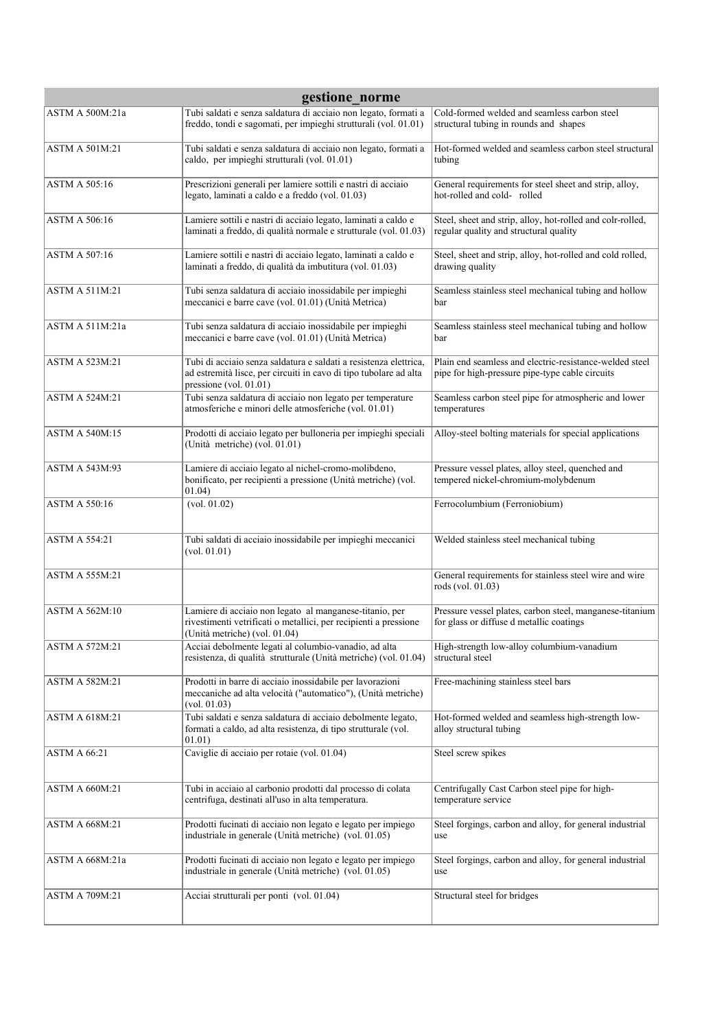| gestione norme        |                                                                                                                                                                  |                                                                                                            |  |
|-----------------------|------------------------------------------------------------------------------------------------------------------------------------------------------------------|------------------------------------------------------------------------------------------------------------|--|
| ASTM A 500M:21a       | Tubi saldati e senza saldatura di acciaio non legato, formati a<br>freddo, tondi e sagomati, per impieghi strutturali (vol. 01.01)                               | Cold-formed welded and seamless carbon steel<br>structural tubing in rounds and shapes                     |  |
| ASTM A 501M:21        | Tubi saldati e senza saldatura di acciaio non legato, formati a<br>caldo, per impieghi strutturali (vol. 01.01)                                                  | Hot-formed welded and seamless carbon steel structural<br>tubing                                           |  |
| <b>ASTM A 505:16</b>  | Prescrizioni generali per lamiere sottili e nastri di acciaio<br>legato, laminati a caldo e a freddo (vol. 01.03)                                                | General requirements for steel sheet and strip, alloy,<br>hot-rolled and cold-rolled                       |  |
| <b>ASTM A 506:16</b>  | Lamiere sottili e nastri di acciaio legato, laminati a caldo e<br>laminati a freddo, di qualità normale e strutturale (vol. 01.03)                               | Steel, sheet and strip, alloy, hot-rolled and colr-rolled,<br>regular quality and structural quality       |  |
| <b>ASTM A 507:16</b>  | Lamiere sottili e nastri di acciaio legato, laminati a caldo e<br>laminati a freddo, di qualità da imbutitura (vol. 01.03)                                       | Steel, sheet and strip, alloy, hot-rolled and cold rolled,<br>drawing quality                              |  |
| <b>ASTM A 511M:21</b> | Tubi senza saldatura di acciaio inossidabile per impieghi<br>meccanici e barre cave (vol. 01.01) (Unità Metrica)                                                 | Seamless stainless steel mechanical tubing and hollow<br>bar                                               |  |
| ASTM A 511M:21a       | Tubi senza saldatura di acciaio inossidabile per impieghi<br>meccanici e barre cave (vol. 01.01) (Unità Metrica)                                                 | Seamless stainless steel mechanical tubing and hollow<br>bar                                               |  |
| ASTM A 523M:21        | Tubi di acciaio senza saldatura e saldati a resistenza elettrica,<br>ad estremità lisce, per circuiti in cavo di tipo tubolare ad alta<br>pressione (vol. 01.01) | Plain end seamless and electric-resistance-welded steel<br>pipe for high-pressure pipe-type cable circuits |  |
| ASTM A 524M:21        | Tubi senza saldatura di acciaio non legato per temperature<br>atmosferiche e minori delle atmosferiche (vol. 01.01)                                              | Seamless carbon steel pipe for atmospheric and lower<br>temperatures                                       |  |
| <b>ASTM A 540M:15</b> | Prodotti di acciaio legato per bulloneria per impieghi speciali<br>(Unità metriche) (vol. 01.01)                                                                 | Alloy-steel bolting materials for special applications                                                     |  |
| <b>ASTM A 543M:93</b> | Lamiere di acciaio legato al nichel-cromo-molibdeno,<br>bonificato, per recipienti a pressione (Unità metriche) (vol.<br>01.04)                                  | Pressure vessel plates, alloy steel, quenched and<br>tempered nickel-chromium-molybdenum                   |  |
| ASTM A 550:16         | (vol. 01.02)                                                                                                                                                     | Ferrocolumbium (Ferroniobium)                                                                              |  |
| <b>ASTM A 554:21</b>  | Tubi saldati di acciaio inossidabile per impieghi meccanici<br>(vol. 01.01)                                                                                      | Welded stainless steel mechanical tubing                                                                   |  |
| <b>ASTM A 555M:21</b> |                                                                                                                                                                  | General requirements for stainless steel wire and wire<br>rods (vol. 01.03)                                |  |
| ASTM A 562M:10        | Lamiere di acciaio non legato al manganese-titanio, per<br>rivestimenti vetrificati o metallici, per recipienti a pressione<br>(Unità metriche) (vol. 01.04)     | Pressure vessel plates, carbon steel, manganese-titanium<br>for glass or diffuse d metallic coatings       |  |
| <b>ASTM A 572M:21</b> | Acciai debolmente legati al columbio-vanadio, ad alta<br>resistenza, di qualità strutturale (Unità metriche) (vol. 01.04)                                        | High-strength low-alloy columbium-vanadium<br>structural steel                                             |  |
| ASTM A 582M:21        | Prodotti in barre di acciaio inossidabile per lavorazioni<br>meccaniche ad alta velocità ("automatico"), (Unità metriche)<br>(vol. 01.03)                        | Free-machining stainless steel bars                                                                        |  |
| ASTM A 618M:21        | Tubi saldati e senza saldatura di acciaio debolmente legato,<br>formati a caldo, ad alta resistenza, di tipo strutturale (vol.<br>01.01)                         | Hot-formed welded and seamless high-strength low-<br>alloy structural tubing                               |  |
| <b>ASTM A 66:21</b>   | Caviglie di acciaio per rotaie (vol. 01.04)                                                                                                                      | Steel screw spikes                                                                                         |  |
| <b>ASTM A 660M:21</b> | Tubi in acciaio al carbonio prodotti dal processo di colata<br>centrifuga, destinati all'uso in alta temperatura.                                                | Centrifugally Cast Carbon steel pipe for high-<br>temperature service                                      |  |
| <b>ASTM A 668M:21</b> | Prodotti fucinati di acciaio non legato e legato per impiego<br>industriale in generale (Unità metriche) (vol. 01.05)                                            | Steel forgings, carbon and alloy, for general industrial<br>use                                            |  |
| ASTM A 668M:21a       | Prodotti fucinati di acciaio non legato e legato per impiego<br>industriale in generale (Unità metriche) (vol. 01.05)                                            | Steel forgings, carbon and alloy, for general industrial<br>use                                            |  |
| <b>ASTM A 709M:21</b> | Acciai strutturali per ponti (vol. 01.04)                                                                                                                        | Structural steel for bridges                                                                               |  |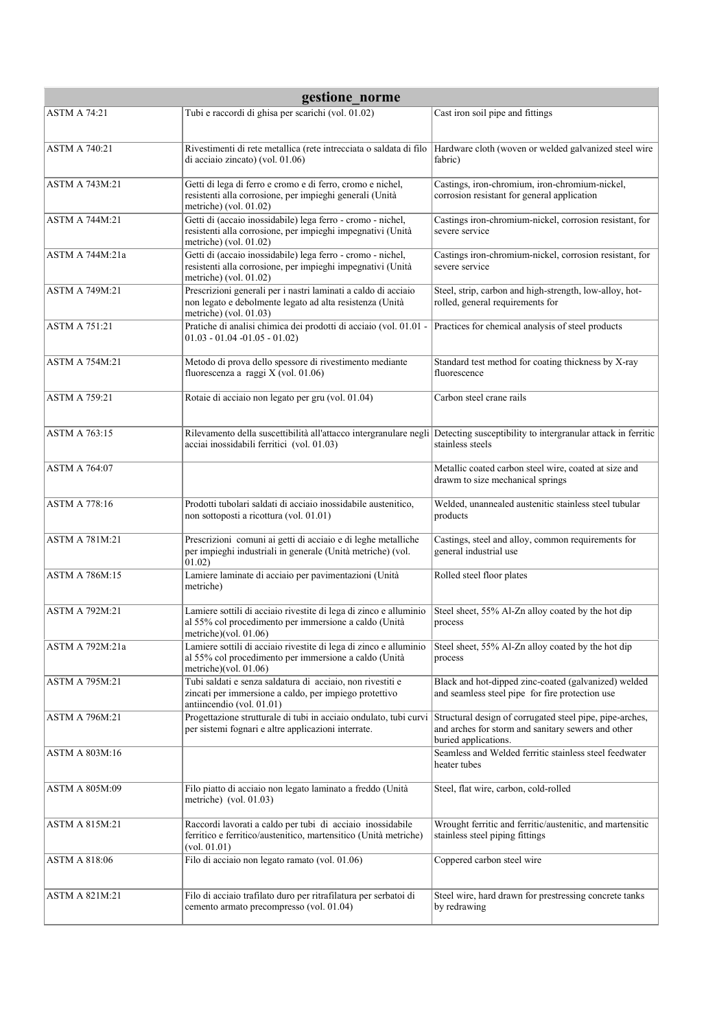| gestione norme        |                                                                                                                                                                              |                                                                                                                                        |  |
|-----------------------|------------------------------------------------------------------------------------------------------------------------------------------------------------------------------|----------------------------------------------------------------------------------------------------------------------------------------|--|
| <b>ASTM A 74:21</b>   | Tubi e raccordi di ghisa per scarichi (vol. 01.02)                                                                                                                           | Cast iron soil pipe and fittings                                                                                                       |  |
| <b>ASTM A 740:21</b>  | Rivestimenti di rete metallica (rete intrecciata o saldata di filo<br>di acciaio zincato) (vol. 01.06)                                                                       | Hardware cloth (woven or welded galvanized steel wire<br>fabric)                                                                       |  |
| <b>ASTM A 743M:21</b> | Getti di lega di ferro e cromo e di ferro, cromo e nichel,<br>resistenti alla corrosione, per impieghi generali (Unità<br>metriche) (vol. $01.02$ )                          | Castings, iron-chromium, iron-chromium-nickel,<br>corrosion resistant for general application                                          |  |
| <b>ASTM A 744M:21</b> | Getti di (accaio inossidabile) lega ferro - cromo - nichel,<br>resistenti alla corrosione, per impieghi impegnativi (Unità<br>metriche) (vol. $01.02$ )                      | Castings iron-chromium-nickel, corrosion resistant, for<br>severe service                                                              |  |
| ASTM A 744M:21a       | Getti di (accaio inossidabile) lega ferro - cromo - nichel,<br>resistenti alla corrosione, per impieghi impegnativi (Unità<br>metriche) (vol. $01.02$ )                      | Castings iron-chromium-nickel, corrosion resistant, for<br>severe service                                                              |  |
| <b>ASTM A 749M:21</b> | Prescrizioni generali per i nastri laminati a caldo di acciaio<br>non legato e debolmente legato ad alta resistenza (Unità<br>metriche) (vol. 01.03)                         | Steel, strip, carbon and high-strength, low-alloy, hot-<br>rolled, general requirements for                                            |  |
| <b>ASTM A 751:21</b>  | Pratiche di analisi chimica dei prodotti di acciaio (vol. 01.01 -<br>$01.03 - 01.04 - 01.05 - 01.02$                                                                         | Practices for chemical analysis of steel products                                                                                      |  |
| <b>ASTM A 754M:21</b> | Metodo di prova dello spessore di rivestimento mediante<br>fluorescenza a raggi X (vol. 01.06)                                                                               | Standard test method for coating thickness by X-ray<br>fluorescence                                                                    |  |
| <b>ASTM A 759:21</b>  | Rotaie di acciaio non legato per gru (vol. 01.04)                                                                                                                            | Carbon steel crane rails                                                                                                               |  |
| <b>ASTM A 763:15</b>  | Rilevamento della suscettibilità all'attacco intergranulare negli Detecting susceptibility to intergranular attack in ferritic<br>acciai inossidabili ferritici (vol. 01.03) | stainless steels                                                                                                                       |  |
| ASTM A 764:07         |                                                                                                                                                                              | Metallic coated carbon steel wire, coated at size and<br>drawm to size mechanical springs                                              |  |
| <b>ASTM A 778:16</b>  | Prodotti tubolari saldati di acciaio inossidabile austenitico,<br>non sottoposti a ricottura (vol. 01.01)                                                                    | Welded, unannealed austenitic stainless steel tubular<br>products                                                                      |  |
| <b>ASTM A 781M:21</b> | Prescrizioni comuni ai getti di acciaio e di leghe metalliche<br>per impieghi industriali in generale (Unità metriche) (vol.<br>01.02)                                       | Castings, steel and alloy, common requirements for<br>general industrial use                                                           |  |
| <b>ASTM A 786M:15</b> | Lamiere laminate di acciaio per pavimentazioni (Unità<br>metriche)                                                                                                           | Rolled steel floor plates                                                                                                              |  |
| <b>ASTM A 792M:21</b> | Lamiere sottili di acciaio rivestite di lega di zinco e alluminio<br>al 55% col procedimento per immersione a caldo (Unità<br>metriche)(vol. $01.06$ )                       | Steel sheet, 55% Al-Zn alloy coated by the hot dip<br>process                                                                          |  |
| ASTM A 792M:21a       | Lamiere sottili di acciaio rivestite di lega di zinco e alluminio<br>al 55% col procedimento per immersione a caldo (Unità<br>metriche)(vol. $01.06$ )                       | Steel sheet, 55% Al-Zn alloy coated by the hot dip<br>process                                                                          |  |
| ASTM A 795M:21        | Tubi saldati e senza saldatura di acciaio, non rivestiti e<br>zincati per immersione a caldo, per impiego protettivo<br>antiincendio (vol. 01.01)                            | Black and hot-dipped zinc-coated (galvanized) welded<br>and seamless steel pipe for fire protection use                                |  |
| <b>ASTM A 796M:21</b> | Progettazione strutturale di tubi in acciaio ondulato, tubi curvi<br>per sistemi fognari e altre applicazioni interrate.                                                     | Structural design of corrugated steel pipe, pipe-arches,<br>and arches for storm and sanitary sewers and other<br>buried applications. |  |
| ASTM A 803M:16        |                                                                                                                                                                              | Seamless and Welded ferritic stainless steel feedwater<br>heater tubes                                                                 |  |
| ASTM A 805M:09        | Filo piatto di acciaio non legato laminato a freddo (Unità<br>metriche) (vol. $01.03$ )                                                                                      | Steel, flat wire, carbon, cold-rolled                                                                                                  |  |
| <b>ASTM A 815M:21</b> | Raccordi lavorati a caldo per tubi di acciaio inossidabile<br>ferritico e ferritico/austenitico, martensitico (Unità metriche)<br>(vol. 01.01)                               | Wrought ferritic and ferritic/austenitic, and martensitic<br>stainless steel piping fittings                                           |  |
| ASTM A 818:06         | Filo di acciaio non legato ramato (vol. 01.06)                                                                                                                               | Coppered carbon steel wire                                                                                                             |  |
| ASTM A 821M:21        | Filo di acciaio trafilato duro per ritrafilatura per serbatoi di<br>cemento armato precompresso (vol. 01.04)                                                                 | Steel wire, hard drawn for prestressing concrete tanks<br>by redrawing                                                                 |  |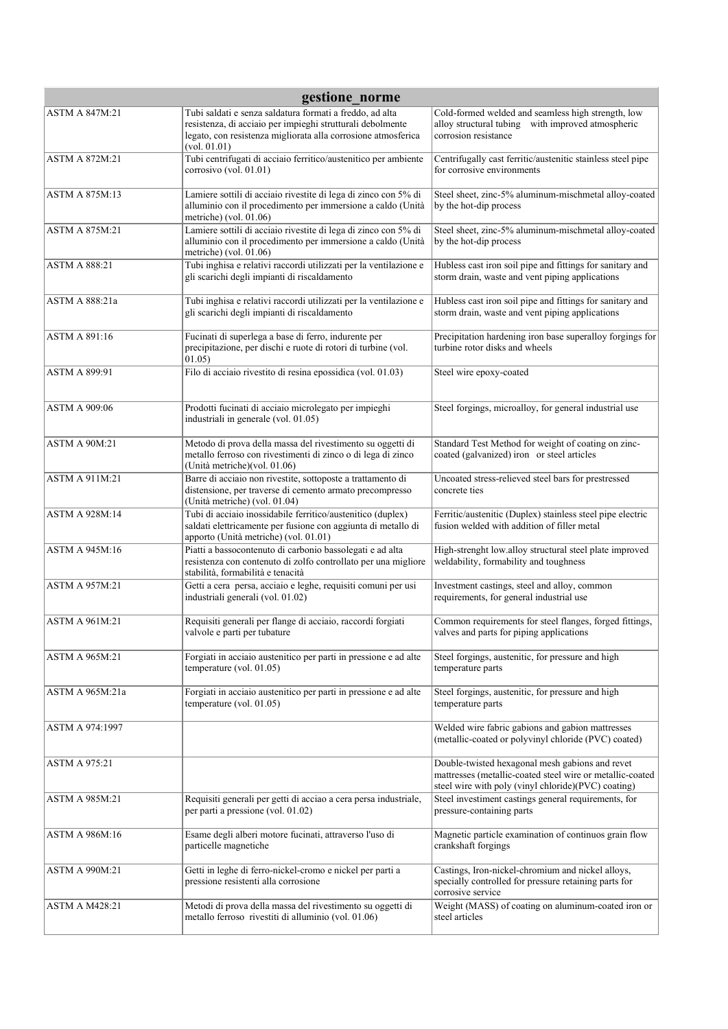| gestione_norme        |                                                                                                                                                                                         |                                                                                                                                                                     |
|-----------------------|-----------------------------------------------------------------------------------------------------------------------------------------------------------------------------------------|---------------------------------------------------------------------------------------------------------------------------------------------------------------------|
| <b>ASTM A 847M:21</b> | Tubi saldati e senza saldatura formati a freddo, ad alta<br>resistenza, di acciaio per impieghi strutturali debolmente<br>legato, con resistenza migliorata alla corrosione atmosferica | Cold-formed welded and seamless high strength, low<br>alloy structural tubing with improved atmospheric<br>corrosion resistance                                     |
| <b>ASTM A 872M:21</b> | (vol. 01.01)<br>Tubi centrifugati di acciaio ferritico/austenitico per ambiente<br>corrosivo (vol. 01.01)                                                                               | Centrifugally cast ferritic/austenitic stainless steel pipe<br>for corrosive environments                                                                           |
| <b>ASTM A 875M:13</b> | Lamiere sottili di acciaio rivestite di lega di zinco con 5% di<br>alluminio con il procedimento per immersione a caldo (Unità<br>metriche) (vol. $01.06$ )                             | Steel sheet, zinc-5% aluminum-mischmetal alloy-coated<br>by the hot-dip process                                                                                     |
| <b>ASTM A 875M:21</b> | Lamiere sottili di acciaio rivestite di lega di zinco con 5% di<br>alluminio con il procedimento per immersione a caldo (Unità<br>metriche) (vol. 01.06)                                | Steel sheet, zinc-5% aluminum-mischmetal alloy-coated<br>by the hot-dip process                                                                                     |
| <b>ASTM A 888:21</b>  | Tubi inghisa e relativi raccordi utilizzati per la ventilazione e<br>gli scarichi degli impianti di riscaldamento                                                                       | Hubless cast iron soil pipe and fittings for sanitary and<br>storm drain, waste and vent piping applications                                                        |
| ASTM A 888:21a        | Tubi inghisa e relativi raccordi utilizzati per la ventilazione e<br>gli scarichi degli impianti di riscaldamento                                                                       | Hubless cast iron soil pipe and fittings for sanitary and<br>storm drain, waste and vent piping applications                                                        |
| <b>ASTM A 891:16</b>  | Fucinati di superlega a base di ferro, indurente per<br>precipitazione, per dischi e ruote di rotori di turbine (vol.<br>01.05)                                                         | Precipitation hardening iron base superalloy forgings for<br>turbine rotor disks and wheels                                                                         |
| <b>ASTM A 899:91</b>  | Filo di acciaio rivestito di resina epossidica (vol. 01.03)                                                                                                                             | Steel wire epoxy-coated                                                                                                                                             |
| <b>ASTM A 909:06</b>  | Prodotti fucinati di acciaio microlegato per impieghi<br>industriali in generale (vol. 01.05)                                                                                           | Steel forgings, microalloy, for general industrial use                                                                                                              |
| <b>ASTM A 90M:21</b>  | Metodo di prova della massa del rivestimento su oggetti di<br>metallo ferroso con rivestimenti di zinco o di lega di zinco<br>(Unità metriche)(vol. 01.06)                              | Standard Test Method for weight of coating on zinc-<br>coated (galvanized) iron or steel articles                                                                   |
| <b>ASTM A 911M:21</b> | Barre di acciaio non rivestite, sottoposte a trattamento di<br>distensione, per traverse di cemento armato precompresso<br>(Unità metriche) (vol. 01.04)                                | Uncoated stress-relieved steel bars for prestressed<br>concrete ties                                                                                                |
| <b>ASTM A 928M:14</b> | Tubi di acciaio inossidabile ferritico/austenitico (duplex)<br>saldati elettricamente per fusione con aggiunta di metallo di<br>apporto (Unità metriche) (vol. 01.01)                   | Ferritic/austenitic (Duplex) stainless steel pipe electric<br>fusion welded with addition of filler metal                                                           |
| <b>ASTM A 945M:16</b> | Piatti a bassocontenuto di carbonio bassolegati e ad alta<br>resistenza con contenuto di zolfo controllato per una migliore<br>stabilità, formabilità e tenacità                        | High-strenght low.alloy structural steel plate improved<br>weldability, formability and toughness                                                                   |
| <b>ASTM A 957M:21</b> | Getti a cera persa, acciaio e leghe, requisiti comuni per usi<br>industriali generali (vol. 01.02)                                                                                      | Investment castings, steel and alloy, common<br>requirements, for general industrial use                                                                            |
| <b>ASTM A 961M:21</b> | Requisiti generali per flange di acciaio, raccordi forgiati<br>valvole e parti per tubature                                                                                             | Common requirements for steel flanges, forged fittings,<br>valves and parts for piping applications                                                                 |
| <b>ASTM A 965M:21</b> | Forgiati in acciaio austenitico per parti in pressione e ad alte<br>temperature (vol. $01.05$ )                                                                                         | Steel forgings, austenitic, for pressure and high<br>temperature parts                                                                                              |
| ASTM A 965M:21a       | Forgiati in acciaio austenitico per parti in pressione e ad alte<br>temperature (vol. 01.05)                                                                                            | Steel forgings, austenitic, for pressure and high<br>temperature parts                                                                                              |
| ASTM A 974:1997       |                                                                                                                                                                                         | Welded wire fabric gabions and gabion mattresses<br>(metallic-coated or polyvinyl chloride (PVC) coated)                                                            |
| <b>ASTM A 975:21</b>  |                                                                                                                                                                                         | Double-twisted hexagonal mesh gabions and revet<br>mattresses (metallic-coated steel wire or metallic-coated<br>steel wire with poly (vinyl chloride)(PVC) coating) |
| <b>ASTM A 985M:21</b> | Requisiti generali per getti di acciao a cera persa industriale,<br>per parti a pressione (vol. 01.02)                                                                                  | Steel investiment castings general requirements, for<br>pressure-containing parts                                                                                   |
| ASTM A 986M:16        | Esame degli alberi motore fucinati, attraverso l'uso di<br>particelle magnetiche                                                                                                        | Magnetic particle examination of continuos grain flow<br>crankshaft forgings                                                                                        |
| <b>ASTM A 990M:21</b> | Getti in leghe di ferro-nickel-cromo e nickel per parti a<br>pressione resistenti alla corrosione                                                                                       | Castings, Iron-nickel-chromium and nickel alloys,<br>specially controlled for pressure retaining parts for<br>corrosive service                                     |
| <b>ASTM A M428:21</b> | Metodi di prova della massa del rivestimento su oggetti di<br>metallo ferroso rivestiti di alluminio (vol. 01.06)                                                                       | Weight (MASS) of coating on aluminum-coated iron or<br>steel articles                                                                                               |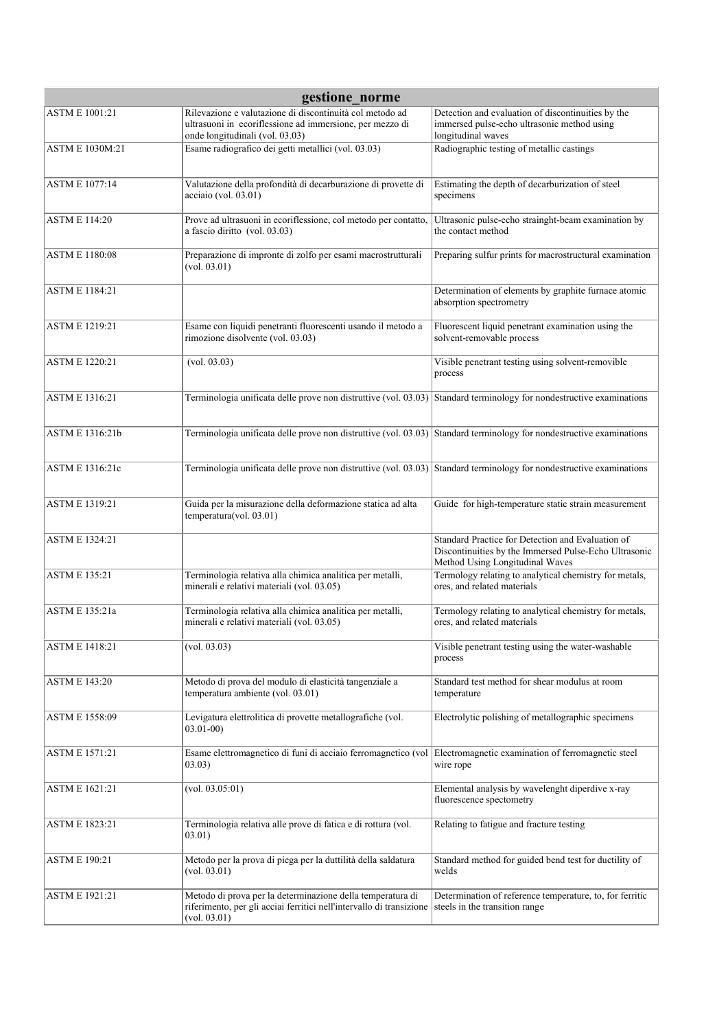| gestione norme         |                                                                                                                                                         |                                                                                                                                               |  |
|------------------------|---------------------------------------------------------------------------------------------------------------------------------------------------------|-----------------------------------------------------------------------------------------------------------------------------------------------|--|
| <b>ASTM E 1001:21</b>  | Rilevazione e valutazione di discontinuità col metodo ad<br>ultrasuoni in ecoriflessione ad immersione, per mezzo di<br>onde longitudinali (vol. 03.03) | Detection and evaluation of discontinuities by the<br>immersed pulse-echo ultrasonic method using<br>longitudinal waves                       |  |
| <b>ASTM E 1030M:21</b> | Esame radiografico dei getti metallici (vol. 03.03)                                                                                                     | Radiographic testing of metallic castings                                                                                                     |  |
| <b>ASTM E 1077:14</b>  | Valutazione della profondità di decarburazione di provette di<br>$acciaio$ (vol. 03.01)                                                                 | Estimating the depth of decarburization of steel<br>specimens                                                                                 |  |
| <b>ASTM E 114:20</b>   | Prove ad ultrasuoni in ecoriflessione, col metodo per contatto,<br>a fascio diritto (vol. 03.03)                                                        | Ultrasonic pulse-echo strainght-beam examination by<br>the contact method                                                                     |  |
| <b>ASTM E 1180:08</b>  | Preparazione di impronte di zolfo per esami macrostrutturali<br>(vol. 03.01)                                                                            | Preparing sulfur prints for macrostructural examination                                                                                       |  |
| <b>ASTM E 1184:21</b>  |                                                                                                                                                         | Determination of elements by graphite furnace atomic<br>absorption spectrometry                                                               |  |
| <b>ASTM E 1219:21</b>  | Esame con liquidi penetranti fluorescenti usando il metodo a<br>rimozione disolvente (vol. 03.03)                                                       | Fluorescent liquid penetrant examination using the<br>solvent-removable process                                                               |  |
| <b>ASTM E 1220:21</b>  | (vol. 03.03)                                                                                                                                            | Visible penetrant testing using solvent-removible<br>process                                                                                  |  |
| <b>ASTM E 1316:21</b>  | Terminologia unificata delle prove non distruttive (vol. 03.03) Standard terminology for nondestructive examinations                                    |                                                                                                                                               |  |
| <b>ASTM E 1316:21b</b> | Terminologia unificata delle prove non distruttive (vol. 03.03) Standard terminology for nondestructive examinations                                    |                                                                                                                                               |  |
| ASTM E 1316:21c        | Terminologia unificata delle prove non distruttive (vol. 03.03) Standard terminology for nondestructive examinations                                    |                                                                                                                                               |  |
| <b>ASTM E 1319:21</b>  | Guida per la misurazione della deformazione statica ad alta<br>temperatura(vol. 03.01)                                                                  | Guide for high-temperature static strain measurement                                                                                          |  |
| <b>ASTM E 1324:21</b>  |                                                                                                                                                         | Standard Practice for Detection and Evaluation of<br>Discontinuities by the Immersed Pulse-Echo Ultrasonic<br>Method Using Longitudinal Waves |  |
| <b>ASTM E 135:21</b>   | Terminologia relativa alla chimica analitica per metalli,<br>minerali e relativi materiali (vol. 03.05)                                                 | Termology relating to analytical chemistry for metals,<br>ores, and related materials                                                         |  |
| <b>ASTM E 135:21a</b>  | Terminologia relativa alla chimica analitica per metalli,<br>minerali e relativi materiali (vol. 03.05)                                                 | Termology relating to analytical chemistry for metals,<br>ores, and related materials                                                         |  |
| <b>ASTM E 1418:21</b>  | (vol. 03.03)                                                                                                                                            | Visible penetrant testing using the water-washable<br>process                                                                                 |  |
| <b>ASTM E 143:20</b>   | Metodo di prova del modulo di elasticità tangenziale a<br>temperatura ambiente (vol. 03.01)                                                             | Standard test method for shear modulus at room<br>temperature                                                                                 |  |
| ASTM E 1558:09         | Levigatura elettrolitica di provette metallografiche (vol.<br>$03.01 - 00$                                                                              | Electrolytic polishing of metallographic specimens                                                                                            |  |
| <b>ASTM E 1571:21</b>  | Esame elettromagnetico di funi di acciaio ferromagnetico (vol<br>03.03)                                                                                 | Electromagnetic examination of ferromagnetic steel<br>wire rope                                                                               |  |
| <b>ASTM E 1621:21</b>  | (vol. 03.05:01)                                                                                                                                         | Elemental analysis by wavelenght diperdive x-ray<br>fluorescence spectometry                                                                  |  |
| <b>ASTM E 1823:21</b>  | Terminologia relativa alle prove di fatica e di rottura (vol.<br>03.01)                                                                                 | Relating to fatigue and fracture testing                                                                                                      |  |
| <b>ASTM E 190:21</b>   | Metodo per la prova di piega per la duttilità della saldatura<br>(vol. 03.01)                                                                           | Standard method for guided bend test for ductility of<br>welds                                                                                |  |
| <b>ASTM E 1921:21</b>  | Metodo di prova per la determinazione della temperatura di<br>riferimento, per gli acciai ferritici nell'intervallo di transizione<br>(vol. 03.01)      | Determination of reference temperature, to, for ferritic<br>steels in the transition range                                                    |  |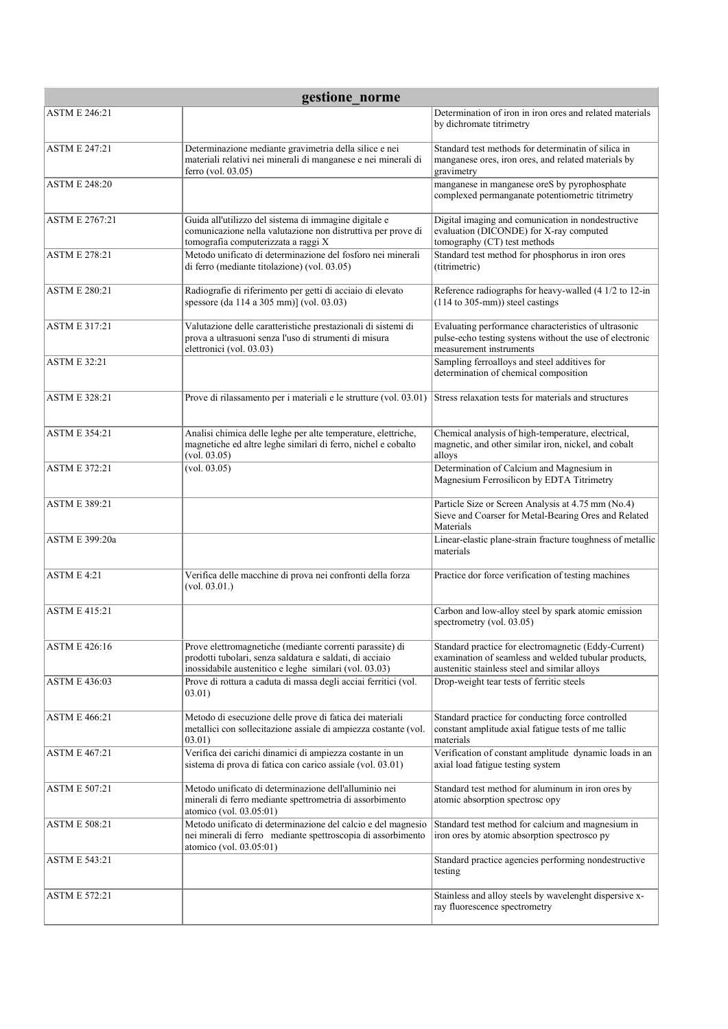| gestione norme        |                                                                                                                                                                                |                                                                                                                                                               |  |
|-----------------------|--------------------------------------------------------------------------------------------------------------------------------------------------------------------------------|---------------------------------------------------------------------------------------------------------------------------------------------------------------|--|
| <b>ASTM E 246:21</b>  |                                                                                                                                                                                | Determination of iron in iron ores and related materials<br>by dichromate titrimetry                                                                          |  |
| <b>ASTM E 247:21</b>  | Determinazione mediante gravimetria della silice e nei<br>materiali relativi nei minerali di manganese e nei minerali di<br>ferro (vol. 03.05)                                 | Standard test methods for determinatin of silica in<br>manganese ores, iron ores, and related materials by<br>gravimetry                                      |  |
| <b>ASTM E 248:20</b>  |                                                                                                                                                                                | manganese in manganese oreS by pyrophosphate<br>complexed permanganate potentiometric titrimetry                                                              |  |
| <b>ASTM E 2767:21</b> | Guida all'utilizzo del sistema di immagine digitale e<br>comunicazione nella valutazione non distruttiva per prove di<br>tomografia computerizzata a raggi X                   | Digital imaging and comunication in nondestructive<br>evaluation (DICONDE) for X-ray computed<br>tomography (CT) test methods                                 |  |
| <b>ASTM E 278:21</b>  | Metodo unificato di determinazione del fosforo nei minerali<br>di ferro (mediante titolazione) (vol. 03.05)                                                                    | Standard test method for phosphorus in iron ores<br>(titrimetric)                                                                                             |  |
| <b>ASTM E 280:21</b>  | Radiografie di riferimento per getti di acciaio di elevato<br>spessore (da 114 a 305 mm)] (vol. 03.03)                                                                         | Reference radiographs for heavy-walled (4 1/2 to 12-in<br>$(114$ to 305-mm)) steel castings                                                                   |  |
| <b>ASTM E 317:21</b>  | Valutazione delle caratteristiche prestazionali di sistemi di<br>prova a ultrasuoni senza l'uso di strumenti di misura<br>elettronici (vol. 03.03)                             | Evaluating performance characteristics of ultrasonic<br>pulse-echo testing systens without the use of electronic<br>measurement instruments                   |  |
| <b>ASTM E 32:21</b>   |                                                                                                                                                                                | Sampling ferroalloys and steel additives for<br>determination of chemical composition                                                                         |  |
| <b>ASTM E 328:21</b>  | Prove di rilassamento per i materiali e le strutture (vol. 03.01)                                                                                                              | Stress relaxation tests for materials and structures                                                                                                          |  |
| <b>ASTM E 354:21</b>  | Analisi chimica delle leghe per alte temperature, elettriche,<br>magnetiche ed altre leghe similari di ferro, nichel e cobalto<br>(vol. 03.05)                                 | Chemical analysis of high-temperature, electrical,<br>magnetic, and other similar iron, nickel, and cobalt<br>alloys                                          |  |
| <b>ASTM E 372:21</b>  | (vol. 03.05)                                                                                                                                                                   | Determination of Calcium and Magnesium in<br>Magnesium Ferrosilicon by EDTA Titrimetry                                                                        |  |
| <b>ASTM E 389:21</b>  |                                                                                                                                                                                | Particle Size or Screen Analysis at 4.75 mm (No.4)<br>Sieve and Coarser for Metal-Bearing Ores and Related<br>Materials                                       |  |
| ASTM E 399:20a        |                                                                                                                                                                                | Linear-elastic plane-strain fracture toughness of metallic<br>materials                                                                                       |  |
| <b>ASTM E 4:21</b>    | Verifica delle macchine di prova nei confronti della forza<br>(vol. 03.01.)                                                                                                    | Practice dor force verification of testing machines                                                                                                           |  |
| <b>ASTM E 415:21</b>  |                                                                                                                                                                                | Carbon and low-alloy steel by spark atomic emission<br>spectrometry (vol. 03.05)                                                                              |  |
| <b>ASTM E 426:16</b>  | Prove elettromagnetiche (mediante correnti parassite) di<br>prodotti tubolari, senza saldatura e saldati, di acciaio<br>inossidabile austenitico e leghe similari (vol. 03.03) | Standard practice for electromagnetic (Eddy-Current)<br>examination of seamless and welded tubular products,<br>austenitic stainless steel and similar alloys |  |
| <b>ASTM E 436:03</b>  | Prove di rottura a caduta di massa degli acciai ferritici (vol.<br>(03.01)                                                                                                     | Drop-weight tear tests of ferritic steels                                                                                                                     |  |
| <b>ASTM E 466:21</b>  | Metodo di esecuzione delle prove di fatica dei materiali<br>metallici con sollecitazione assiale di ampiezza costante (vol.<br>03.01)                                          | Standard practice for conducting force controlled<br>constant amplitude axial fatigue tests of me tallic<br>materials                                         |  |
| <b>ASTM E 467:21</b>  | Verifica dei carichi dinamici di ampiezza costante in un<br>sistema di prova di fatica con carico assiale (vol. 03.01)                                                         | Verification of constant amplitude dynamic loads in an<br>axial load fatigue testing system                                                                   |  |
| <b>ASTM E 507:21</b>  | Metodo unificato di determinazione dell'alluminio nei<br>minerali di ferro mediante spettrometria di assorbimento<br>atomico (vol. 03.05:01)                                   | Standard test method for aluminum in iron ores by<br>atomic absorption spectrosc opy                                                                          |  |
| ASTM E 508:21         | Metodo unificato di determinazione del calcio e del magnesio<br>nei minerali di ferro mediante spettroscopia di assorbimento<br>atomico (vol. 03.05:01)                        | Standard test method for calcium and magnesium in<br>iron ores by atomic absorption spectrosco py                                                             |  |
| <b>ASTM E 543:21</b>  |                                                                                                                                                                                | Standard practice agencies performing nondestructive<br>testing                                                                                               |  |
| <b>ASTM E 572:21</b>  |                                                                                                                                                                                | Stainless and alloy steels by wavelenght dispersive x-<br>ray fluorescence spectrometry                                                                       |  |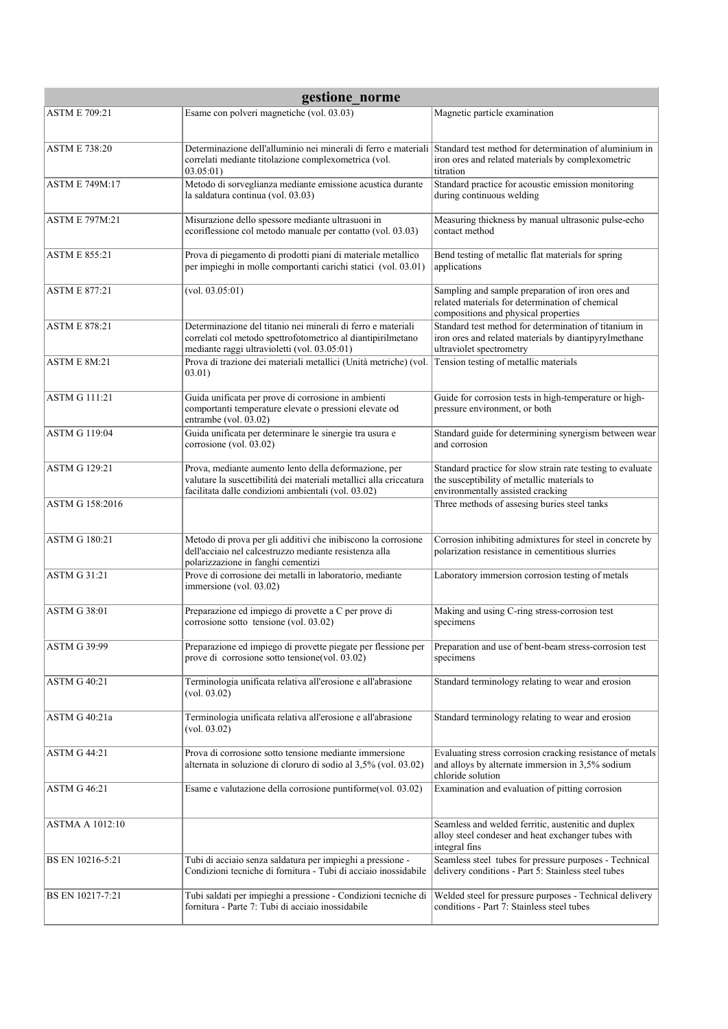| gestione norme         |                                                                                                                                                                                             |                                                                                                                                                |  |
|------------------------|---------------------------------------------------------------------------------------------------------------------------------------------------------------------------------------------|------------------------------------------------------------------------------------------------------------------------------------------------|--|
| <b>ASTM E 709:21</b>   | Esame con polveri magnetiche (vol. 03.03)                                                                                                                                                   | Magnetic particle examination                                                                                                                  |  |
| <b>ASTM E 738:20</b>   | Determinazione dell'alluminio nei minerali di ferro e materiali Standard test method for determination of aluminium in<br>correlati mediante titolazione complexometrica (vol.<br>03.05:01) | iron ores and related materials by complexometric<br>titration                                                                                 |  |
| <b>ASTM E 749M:17</b>  | Metodo di sorveglianza mediante emissione acustica durante<br>la saldatura continua (vol. 03.03)                                                                                            | Standard practice for acoustic emission monitoring<br>during continuous welding                                                                |  |
| <b>ASTM E 797M:21</b>  | Misurazione dello spessore mediante ultrasuoni in<br>ecorrflessione col metodo manuale per contatto (vol. 03.03)                                                                            | Measuring thickness by manual ultrasonic pulse-echo<br>contact method                                                                          |  |
| <b>ASTM E 855:21</b>   | Prova di piegamento di prodotti piani di materiale metallico<br>per impieghi in molle comportanti carichi statici (vol. 03.01)                                                              | Bend testing of metallic flat materials for spring<br>applications                                                                             |  |
| <b>ASTM E 877:21</b>   | (vol. 03.05:01)                                                                                                                                                                             | Sampling and sample preparation of iron ores and<br>related materials for determination of chemical<br>compositions and physical properties    |  |
| <b>ASTM E 878:21</b>   | Determinazione del titanio nei minerali di ferro e materiali<br>correlati col metodo spettrofotometrico al diantipirilmetano<br>mediante raggi ultravioletti (vol. 03.05:01)                | Standard test method for determination of titanium in<br>iron ores and related materials by diantipyrylmethane<br>ultraviolet spectrometry     |  |
| <b>ASTM E 8M:21</b>    | Prova di trazione dei materiali metallici (Unità metriche) (vol.<br>03.01)                                                                                                                  | Tension testing of metallic materials                                                                                                          |  |
| <b>ASTM G 111:21</b>   | Guida unificata per prove di corrosione in ambienti<br>comportanti temperature elevate o pressioni elevate od<br>entrambe (vol. 03.02)                                                      | Guide for corrosion tests in high-temperature or high-<br>pressure environment, or both                                                        |  |
| <b>ASTM G 119:04</b>   | Guida unificata per determinare le sinergie tra usura e<br>corrosione (vol. 03.02)                                                                                                          | Standard guide for determining synergism between wear<br>and corrosion                                                                         |  |
| <b>ASTM G 129:21</b>   | Prova, mediante aumento lento della deformazione, per<br>valutare la suscettibilità dei materiali metallici alla criccatura<br>facilitata dalle condizioni ambientali (vol. 03.02)          | Standard practice for slow strain rate testing to evaluate<br>the susceptibility of metallic materials to<br>environmentally assisted cracking |  |
| ASTM G 158:2016        |                                                                                                                                                                                             | Three methods of assesing buries steel tanks                                                                                                   |  |
| <b>ASTM G 180:21</b>   | Metodo di prova per gli additivi che inibiscono la corrosione<br>dell'acciaio nel calcestruzzo mediante resistenza alla<br>polarizzazione in fanghi cementizi                               | Corrosion inhibiting admixtures for steel in concrete by<br>polarization resistance in cementitious slurries                                   |  |
| <b>ASTM G 31:21</b>    | Prove di corrosione dei metalli in laboratorio, mediante<br>immersione (vol. 03.02)                                                                                                         | Laboratory immersion corrosion testing of metals                                                                                               |  |
| <b>ASTM G 38:01</b>    | Preparazione ed impiego di provette a C per prove di<br>corrosione sotto tensione (vol. 03.02)                                                                                              | Making and using C-ring stress-corrosion test<br>specimens                                                                                     |  |
| ASTM G 39:99           | Preparazione ed impiego di provette piegate per flessione per<br>prove di corrosione sotto tensione (vol. 03.02)                                                                            | Preparation and use of bent-beam stress-corrosion test<br>specimens                                                                            |  |
| <b>ASTM G 40:21</b>    | Terminologia unificata relativa all'erosione e all'abrasione<br>(vol. 03.02)                                                                                                                | Standard terminology relating to wear and erosion                                                                                              |  |
| ASTM G 40:21a          | Terminologia unificata relativa all'erosione e all'abrasione<br>(vol. 03.02)                                                                                                                | Standard terminology relating to wear and erosion                                                                                              |  |
| <b>ASTM G 44:21</b>    | Prova di corrosione sotto tensione mediante immersione<br>alternata in soluzione di cloruro di sodio al 3,5% (vol. 03.02)                                                                   | Evaluating stress corrosion cracking resistance of metals<br>and alloys by alternate immersion in 3,5% sodium<br>chloride solution             |  |
| <b>ASTM G 46:21</b>    | Esame e valutazione della corrosione puntiforme(vol. 03.02)                                                                                                                                 | Examination and evaluation of pitting corrosion                                                                                                |  |
| <b>ASTMA A 1012:10</b> |                                                                                                                                                                                             | Seamless and welded ferritic, austenitic and duplex<br>alloy steel condeser and heat exchanger tubes with<br>integral fins                     |  |
| BS EN 10216-5:21       | Tubi di acciaio senza saldatura per impieghi a pressione -<br>Condizioni tecniche di fornitura - Tubi di acciaio inossidabile                                                               | Seamless steel tubes for pressure purposes - Technical<br>delivery conditions - Part 5: Stainless steel tubes                                  |  |
| BS EN 10217-7:21       | Tubi saldati per impieghi a pressione - Condizioni tecniche di<br>fornitura - Parte 7: Tubi di acciaio inossidabile                                                                         | Welded steel for pressure purposes - Technical delivery<br>conditions - Part 7: Stainless steel tubes                                          |  |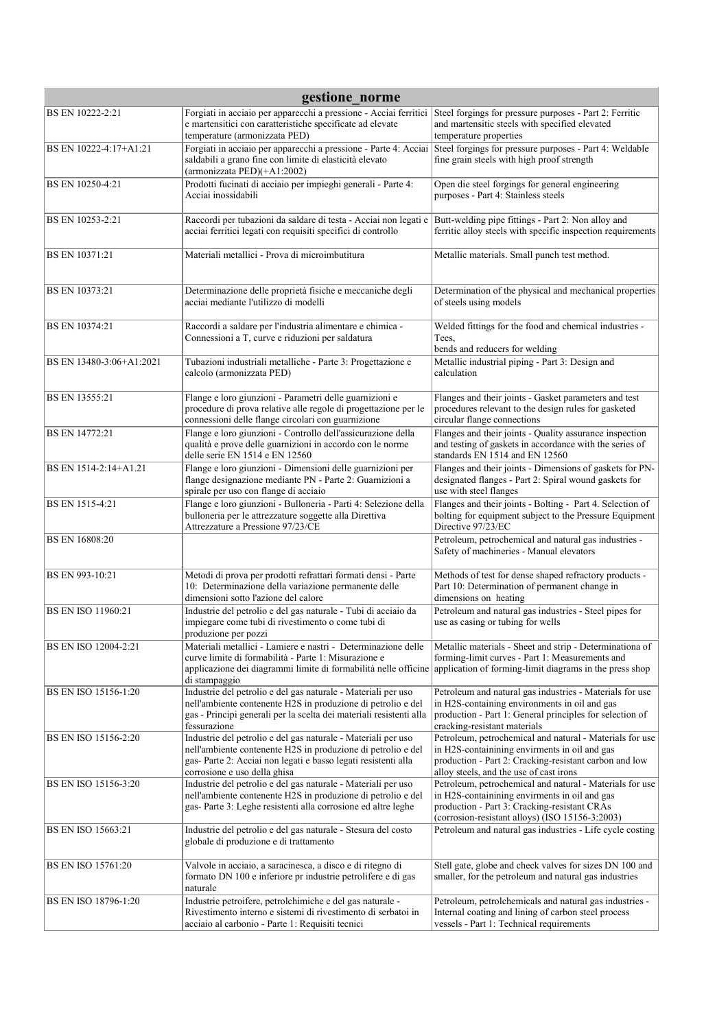| gestione norme            |                                                                                                                                                                                                                                                                   |                                                                                                                                                                                                                |  |
|---------------------------|-------------------------------------------------------------------------------------------------------------------------------------------------------------------------------------------------------------------------------------------------------------------|----------------------------------------------------------------------------------------------------------------------------------------------------------------------------------------------------------------|--|
| BS EN 10222-2:21          | Forgiati in acciaio per apparecchi a pressione - Acciai ferritici<br>e martensitici con caratteristiche specificate ad elevate<br>temperature (armonizzata PED)                                                                                                   | Steel forgings for pressure purposes - Part 2: Ferritic<br>and martensitic steels with specified elevated<br>temperature properties                                                                            |  |
| BS EN 10222-4:17+A1:21    | Forgiati in acciaio per apparecchi a pressione - Parte 4: Acciai<br>saldabili a grano fine con limite di elasticità elevato<br>(armonizzata PED)(+A1:2002)                                                                                                        | Steel forgings for pressure purposes - Part 4: Weldable<br>fine grain steels with high proof strength                                                                                                          |  |
| BS EN 10250-4:21          | Prodotti fucinati di acciaio per impieghi generali - Parte 4:<br>Acciai inossidabili                                                                                                                                                                              | Open die steel forgings for general engineering<br>purposes - Part 4: Stainless steels                                                                                                                         |  |
| BS EN 10253-2:21          | Raccordi per tubazioni da saldare di testa - Acciai non legati e<br>acciai ferritici legati con requisiti specifici di controllo                                                                                                                                  | Butt-welding pipe fittings - Part 2: Non alloy and<br>ferritic alloy steels with specific inspection requirements                                                                                              |  |
| <b>BS EN 10371:21</b>     | Materiali metallici - Prova di microimbutitura                                                                                                                                                                                                                    | Metallic materials. Small punch test method.                                                                                                                                                                   |  |
| BS EN 10373:21            | Determinazione delle proprietà fisiche e meccaniche degli<br>acciai mediante l'utilizzo di modelli                                                                                                                                                                | Determination of the physical and mechanical properties<br>of steels using models                                                                                                                              |  |
| BS EN 10374:21            | Raccordi a saldare per l'industria alimentare e chimica -<br>Connessioni a T, curve e riduzioni per saldatura                                                                                                                                                     | Welded fittings for the food and chemical industries -<br>Tees.<br>bends and reducers for welding                                                                                                              |  |
| BS EN 13480-3:06+A1:2021  | Tubazioni industriali metalliche - Parte 3: Progettazione e<br>calcolo (armonizzata PED)                                                                                                                                                                          | Metallic industrial piping - Part 3: Design and<br>calculation                                                                                                                                                 |  |
| BS EN 13555:21            | Flange e loro giunzioni - Parametri delle guarnizioni e<br>procedure di prova relative alle regole di progettazione per le<br>connessioni delle flange circolari con guarnizione                                                                                  | Flanges and their joints - Gasket parameters and test<br>procedures relevant to the design rules for gasketed<br>circular flange connections                                                                   |  |
| BS EN 14772:21            | Flange e loro giunzioni - Controllo dell'assicurazione della<br>qualità e prove delle guarnizioni in accordo con le norme<br>delle serie EN 1514 e EN 12560                                                                                                       | Flanges and their joints - Quality assurance inspection<br>and testing of gaskets in accordance with the series of<br>standards EN 1514 and EN 12560                                                           |  |
| BS EN 1514-2:14+A1.21     | Flange e loro giunzioni - Dimensioni delle guarnizioni per<br>flange designazione mediante PN - Parte 2: Guarnizioni a<br>spirale per uso con flange di acciaio                                                                                                   | Flanges and their joints - Dimensions of gaskets for PN-<br>designated flanges - Part 2: Spiral wound gaskets for<br>use with steel flanges                                                                    |  |
| BS EN 1515-4:21           | Flange e loro giunzioni - Bulloneria - Parti 4: Selezione della<br>bulloneria per le attrezzature soggette alla Direttiva<br>Attrezzature a Pressione 97/23/CE                                                                                                    | Flanges and their joints - Bolting - Part 4. Selection of<br>bolting for equipment subject to the Pressure Equipment<br>Directive 97/23/EC                                                                     |  |
| BS EN 16808:20            |                                                                                                                                                                                                                                                                   | Petroleum, petrochemical and natural gas industries -<br>Safety of machineries - Manual elevators                                                                                                              |  |
| BS EN 993-10:21           | Metodi di prova per prodotti refrattari formati densi - Parte<br>10: Determinazione della variazione permanente delle<br>dimensioni sotto l'azione del calore                                                                                                     | Methods of test for dense shaped refractory products -<br>Part 10: Determination of permanent change in<br>dimensions on heating                                                                               |  |
| <b>BS EN ISO 11960:21</b> | Industrie del petrolio e del gas naturale - Tubi di acciaio da<br>impiegare come tubi di rivestimento o come tubi di<br>produzione per pozzi                                                                                                                      | Petroleum and natural gas industries - Steel pipes for<br>use as casing or tubing for wells                                                                                                                    |  |
| BS EN ISO 12004-2:21      | Materiali metallici - Lamiere e nastri - Determinazione delle<br>curve limite di formabilità - Parte 1: Misurazione e<br>applicazione dei diagrammi limite di formabilità nelle officine application of forming-limit diagrams in the press shop<br>di stampaggio | Metallic materials - Sheet and strip - Determinationa of<br>forming-limit curves - Part 1: Measurements and                                                                                                    |  |
| BS EN ISO 15156-1:20      | Industrie del petrolio e del gas naturale - Materiali per uso<br>nell'ambiente contenente H2S in produzione di petrolio e del<br>gas - Principi generali per la scelta dei materiali resistenti alla<br>fessurazione                                              | Petroleum and natural gas industries - Materials for use<br>in H2S-containing environments in oil and gas<br>production - Part 1: General principles for selection of<br>cracking-resistant materials          |  |
| BS EN ISO 15156-2:20      | Industrie del petrolio e del gas naturale - Materiali per uso<br>nell'ambiente contenente H2S in produzione di petrolio e del<br>gas-Parte 2: Acciai non legati e basso legati resistenti alla<br>corrosione e uso della ghisa                                    | Petroleum, petrochemical and natural - Materials for use<br>in H2S-containining envirments in oil and gas<br>production - Part 2: Cracking-resistant carbon and low<br>alloy steels, and the use of cast irons |  |
| BS EN ISO 15156-3:20      | Industrie del petrolio e del gas naturale - Materiali per uso<br>nell'ambiente contenente H2S in produzione di petrolio e del<br>gas-Parte 3: Leghe resistenti alla corrosione ed altre leghe                                                                     | Petroleum, petrochemical and natural - Materials for use<br>in H2S-containining envirments in oil and gas<br>production - Part 3: Cracking-resistant CRAs<br>(corrosion-resistant alloys) (ISO 15156-3:2003)   |  |
| <b>BS EN ISO 15663:21</b> | Industrie del petrolio e del gas naturale - Stesura del costo<br>globale di produzione e di trattamento                                                                                                                                                           | Petroleum and natural gas industries - Life cycle costing                                                                                                                                                      |  |
| <b>BS EN ISO 15761:20</b> | Valvole in acciaio, a saracinesca, a disco e di ritegno di<br>formato DN 100 e inferiore pr industrie petrolifere e di gas<br>naturale                                                                                                                            | Stell gate, globe and check valves for sizes DN 100 and<br>smaller, for the petroleum and natural gas industries                                                                                               |  |
| BS EN ISO 18796-1:20      | Industrie petroifere, petrolchimiche e del gas naturale -<br>Rivestimento interno e sistemi di rivestimento di serbatoi in<br>acciaio al carbonio - Parte 1: Requisiti tecnici                                                                                    | Petroleum, petrolchemicals and natural gas industries -<br>Internal coating and lining of carbon steel process<br>vessels - Part 1: Technical requirements                                                     |  |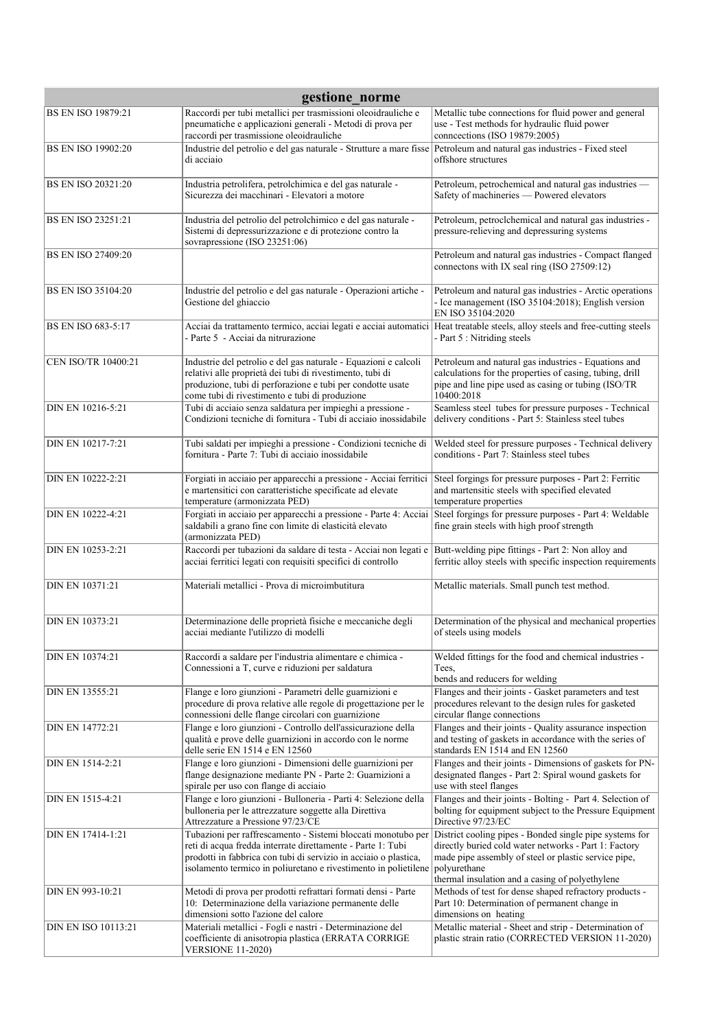| gestione_norme            |                                                                                                                                                                                                                                                                    |                                                                                                                                                                                          |
|---------------------------|--------------------------------------------------------------------------------------------------------------------------------------------------------------------------------------------------------------------------------------------------------------------|------------------------------------------------------------------------------------------------------------------------------------------------------------------------------------------|
| <b>BS EN ISO 19879:21</b> | Raccordi per tubi metallici per trasmissioni oleoidrauliche e<br>pneumatiche e applicazioni generali - Metodi di prova per<br>raccordi per trasmissione oleoidrauliche                                                                                             | Metallic tube connections for fluid power and general<br>use - Test methods for hydraulic fluid power<br>connections (ISO 19879:2005)                                                    |
| <b>BS EN ISO 19902:20</b> | Industrie del petrolio e del gas naturale - Strutture a mare fisse<br>di acciaio                                                                                                                                                                                   | Petroleum and natural gas industries - Fixed steel<br>offshore structures                                                                                                                |
| <b>BS EN ISO 20321:20</b> | Industria petrolifera, petrolchimica e del gas naturale -<br>Sicurezza dei macchinari - Elevatori a motore                                                                                                                                                         | Petroleum, petrochemical and natural gas industries -<br>Safety of machineries - Powered elevators                                                                                       |
| <b>BS EN ISO 23251:21</b> | Industria del petrolio del petrolchimico e del gas naturale -<br>Sistemi di depressurizzazione e di protezione contro la<br>sovrapressione (ISO 23251:06)                                                                                                          | Petroleum, petroclchemical and natural gas industries -<br>pressure-relieving and depressuring systems                                                                                   |
| <b>BS EN ISO 27409:20</b> |                                                                                                                                                                                                                                                                    | Petroleum and natural gas industries - Compact flanged<br>connectons with IX seal ring (ISO 27509:12)                                                                                    |
| <b>BS EN ISO 35104:20</b> | Industrie del petrolio e del gas naturale - Operazioni artiche -<br>Gestione del ghiaccio                                                                                                                                                                          | Petroleum and natural gas industries - Arctic operations<br>- Ice management (ISO 35104:2018); English version<br>EN ISO 35104:2020                                                      |
| BS EN ISO 683-5:17        | Acciai da trattamento termico, acciai legati e acciai automatici<br>- Parte 5 - Acciai da nitrurazione                                                                                                                                                             | Heat treatable steels, alloy steels and free-cutting steels<br>- Part 5 : Nitriding steels                                                                                               |
| CEN ISO/TR 10400:21       | Industrie del petrolio e del gas naturale - Equazioni e calcoli<br>relativi alle proprietà dei tubi di rivestimento, tubi di<br>produzione, tubi di perforazione e tubi per condotte usate<br>come tubi di rivestimento e tubi di produzione                       | Petroleum and natural gas industries - Equations and<br>calculations for the properties of casing, tubing, drill<br>pipe and line pipe used as casing or tubing (ISO/TR<br>10400:2018    |
| DIN EN 10216-5:21         | Tubi di acciaio senza saldatura per impieghi a pressione -<br>Condizioni tecniche di fornitura - Tubi di acciaio inossidabile                                                                                                                                      | Seamless steel tubes for pressure purposes - Technical<br>delivery conditions - Part 5: Stainless steel tubes                                                                            |
| DIN EN 10217-7:21         | Tubi saldati per impieghi a pressione - Condizioni tecniche di<br>fornitura - Parte 7: Tubi di acciaio inossidabile                                                                                                                                                | Welded steel for pressure purposes - Technical delivery<br>conditions - Part 7: Stainless steel tubes                                                                                    |
| DIN EN 10222-2:21         | Forgiati in acciaio per apparecchi a pressione - Acciai ferritici<br>e martensitici con caratteristiche specificate ad elevate<br>temperature (armonizzata PED)                                                                                                    | Steel forgings for pressure purposes - Part 2: Ferritic<br>and martensitic steels with specified elevated<br>temperature properties                                                      |
| DIN EN 10222-4:21         | Forgiati in acciaio per apparecchi a pressione - Parte 4: Acciai<br>saldabili a grano fine con limite di elasticità elevato<br>(armonizzata PED)                                                                                                                   | Steel forgings for pressure purposes - Part 4: Weldable<br>fine grain steels with high proof strength                                                                                    |
| DIN EN 10253-2:21         | Raccordi per tubazioni da saldare di testa - Acciai non legati e<br>acciai ferritici legati con requisiti specifici di controllo                                                                                                                                   | Butt-welding pipe fittings - Part 2: Non alloy and<br>ferritic alloy steels with specific inspection requirements                                                                        |
| DIN EN 10371:21           | Materiali metallici - Prova di microimbutitura                                                                                                                                                                                                                     | Metallic materials. Small punch test method.                                                                                                                                             |
| <b>DIN EN 10373:21</b>    | Determinazione delle proprietà fisiche e meccaniche degli<br>acciai mediante l'utilizzo di modelli                                                                                                                                                                 | Determination of the physical and mechanical properties<br>of steels using models                                                                                                        |
| <b>DIN EN 10374:21</b>    | Raccordi a saldare per l'industria alimentare e chimica -<br>Connessioni a T, curve e riduzioni per saldatura                                                                                                                                                      | Welded fittings for the food and chemical industries -<br>Tees,                                                                                                                          |
| DIN EN 13555:21           | Flange e loro giunzioni - Parametri delle guarnizioni e<br>procedure di prova relative alle regole di progettazione per le<br>connessioni delle flange circolari con guarnizione                                                                                   | bends and reducers for welding<br>Flanges and their joints - Gasket parameters and test<br>procedures relevant to the design rules for gasketed<br>circular flange connections           |
| DIN EN 14772:21           | Flange e loro giunzioni - Controllo dell'assicurazione della<br>qualità e prove delle guarnizioni in accordo con le norme<br>delle serie EN 1514 e EN 12560                                                                                                        | Flanges and their joints - Quality assurance inspection<br>and testing of gaskets in accordance with the series of<br>standards EN 1514 and EN 12560                                     |
| DIN EN 1514-2:21          | Flange e loro giunzioni - Dimensioni delle guarnizioni per<br>flange designazione mediante PN - Parte 2: Guarnizioni a<br>spirale per uso con flange di acciaio                                                                                                    | Flanges and their joints - Dimensions of gaskets for PN-<br>designated flanges - Part 2: Spiral wound gaskets for<br>use with steel flanges                                              |
| DIN EN 1515-4:21          | Flange e loro giunzioni - Bulloneria - Parti 4: Selezione della<br>bulloneria per le attrezzature soggette alla Direttiva<br>Attrezzature a Pressione 97/23/CE                                                                                                     | Flanges and their joints - Bolting - Part 4. Selection of<br>bolting for equipment subject to the Pressure Equipment<br>Directive 97/23/EC                                               |
| DIN EN 17414-1:21         | Tubazioni per raffrescamento - Sistemi bloccati monotubo per<br>reti di acqua fredda interrate direttamente - Parte 1: Tubi<br>prodotti in fabbrica con tubi di servizio in acciaio o plastica,<br>isolamento termico in poliuretano e rivestimento in polietilene | District cooling pipes - Bonded single pipe systems for<br>directly buried cold water networks - Part 1: Factory<br>made pipe assembly of steel or plastic service pipe,<br>polyurethane |
| DIN EN 993-10:21          | Metodi di prova per prodotti refrattari formati densi - Parte<br>10: Determinazione della variazione permanente delle<br>dimensioni sotto l'azione del calore                                                                                                      | thermal insulation and a casing of polyethylene<br>Methods of test for dense shaped refractory products -<br>Part 10: Determination of permanent change in<br>dimensions on heating      |
| DIN EN ISO 10113:21       | Materiali metallici - Fogli e nastri - Determinazione del<br>coefficiente di anisotropia plastica (ERRATA CORRIGE<br><b>VERSIONE 11-2020)</b>                                                                                                                      | Metallic material - Sheet and strip - Determination of<br>plastic strain ratio (CORRECTED VERSION 11-2020)                                                                               |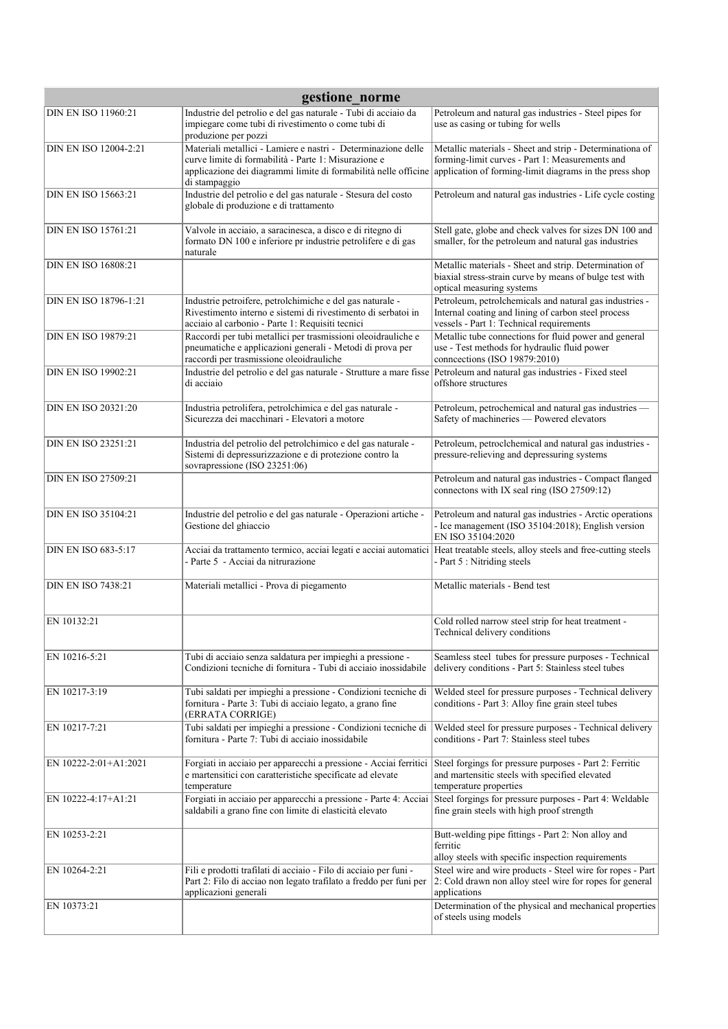| gestione_norme             |                                                                                                                                                                                                           |                                                                                                                                                                        |
|----------------------------|-----------------------------------------------------------------------------------------------------------------------------------------------------------------------------------------------------------|------------------------------------------------------------------------------------------------------------------------------------------------------------------------|
| <b>DIN EN ISO 11960:21</b> | Industrie del petrolio e del gas naturale - Tubi di acciaio da<br>impiegare come tubi di rivestimento o come tubi di<br>produzione per pozzi                                                              | Petroleum and natural gas industries - Steel pipes for<br>use as casing or tubing for wells                                                                            |
| DIN EN ISO 12004-2:21      | Materiali metallici - Lamiere e nastri - Determinazione delle<br>curve limite di formabilità - Parte 1: Misurazione e<br>applicazione dei diagrammi limite di formabilità nelle officine<br>di stampaggio | Metallic materials - Sheet and strip - Determinationa of<br>forming-limit curves - Part 1: Measurements and<br>application of forming-limit diagrams in the press shop |
| <b>DIN EN ISO 15663:21</b> | Industrie del petrolio e del gas naturale - Stesura del costo<br>globale di produzione e di trattamento                                                                                                   | Petroleum and natural gas industries - Life cycle costing                                                                                                              |
| <b>DIN EN ISO 15761:21</b> | Valvole in acciaio, a saracinesca, a disco e di ritegno di<br>formato DN 100 e inferiore pr industrie petrolifere e di gas<br>naturale                                                                    | Stell gate, globe and check valves for sizes DN 100 and<br>smaller, for the petroleum and natural gas industries                                                       |
| <b>DIN EN ISO 16808:21</b> |                                                                                                                                                                                                           | Metallic materials - Sheet and strip. Determination of<br>biaxial stress-strain curve by means of bulge test with<br>optical measuring systems                         |
| DIN EN ISO 18796-1:21      | Industrie petroifere, petrolchimiche e del gas naturale -<br>Rivestimento interno e sistemi di rivestimento di serbatoi in<br>acciaio al carbonio - Parte 1: Requisiti tecnici                            | Petroleum, petrolchemicals and natural gas industries -<br>Internal coating and lining of carbon steel process<br>vessels - Part 1: Technical requirements             |
| <b>DIN EN ISO 19879:21</b> | Raccordi per tubi metallici per trasmissioni oleoidrauliche e<br>pneumatiche e applicazioni generali - Metodi di prova per<br>raccordi per trasmissione oleoidrauliche                                    | Metallic tube connections for fluid power and general<br>use - Test methods for hydraulic fluid power<br>connections (ISO 19879:2010)                                  |
| <b>DIN EN ISO 19902:21</b> | Industrie del petrolio e del gas naturale - Strutture a mare fisse<br>di acciaio                                                                                                                          | Petroleum and natural gas industries - Fixed steel<br>offshore structures                                                                                              |
| <b>DIN EN ISO 20321:20</b> | Industria petrolifera, petrolchimica e del gas naturale -<br>Sicurezza dei macchinari - Elevatori a motore                                                                                                | Petroleum, petrochemical and natural gas industries -<br>Safety of machineries - Powered elevators                                                                     |
| <b>DIN EN ISO 23251:21</b> | Industria del petrolio del petrolchimico e del gas naturale -<br>Sistemi di depressurizzazione e di protezione contro la<br>sovrapressione (ISO 23251:06)                                                 | Petroleum, petroclchemical and natural gas industries -<br>pressure-relieving and depressuring systems                                                                 |
| <b>DIN EN ISO 27509:21</b> |                                                                                                                                                                                                           | Petroleum and natural gas industries - Compact flanged<br>connectons with IX seal ring (ISO 27509:12)                                                                  |
| <b>DIN EN ISO 35104:21</b> | Industrie del petrolio e del gas naturale - Operazioni artiche -<br>Gestione del ghiaccio                                                                                                                 | Petroleum and natural gas industries - Arctic operations<br>- Ice management (ISO 35104:2018); English version<br>EN ISO 35104:2020                                    |
| <b>DIN EN ISO 683-5:17</b> | Acciai da trattamento termico, acciai legati e acciai automatici<br>- Parte 5 - Acciai da nitrurazione                                                                                                    | Heat treatable steels, alloy steels and free-cutting steels<br>- Part 5 : Nitriding steels                                                                             |
| <b>DIN EN ISO 7438:21</b>  | Materiali metallici - Prova di piegamento                                                                                                                                                                 | Metallic materials - Bend test                                                                                                                                         |
| EN 10132:21                |                                                                                                                                                                                                           | Cold rolled narrow steel strip for heat treatment -<br>Technical delivery conditions                                                                                   |
| EN 10216-5:21              | Tubi di acciaio senza saldatura per impieghi a pressione -<br>Condizioni tecniche di fornitura - Tubi di acciaio inossidabile                                                                             | Seamless steel tubes for pressure purposes - Technical<br>delivery conditions - Part 5: Stainless steel tubes                                                          |
| EN 10217-3:19              | Tubi saldati per impieghi a pressione - Condizioni tecniche di<br>fornitura - Parte 3: Tubi di acciaio legato, a grano fine<br>(ERRATA CORRIGE)                                                           | Welded steel for pressure purposes - Technical delivery<br>conditions - Part 3: Alloy fine grain steel tubes                                                           |
| EN 10217-7:21              | Tubi saldati per impieghi a pressione - Condizioni tecniche di<br>fornitura - Parte 7: Tubi di acciaio inossidabile                                                                                       | Welded steel for pressure purposes - Technical delivery<br>conditions - Part 7: Stainless steel tubes                                                                  |
| EN 10222-2:01+A1:2021      | Forgiati in acciaio per apparecchi a pressione - Acciai ferritici<br>e martensitici con caratteristiche specificate ad elevate<br>temperature                                                             | Steel forgings for pressure purposes - Part 2: Ferritic<br>and martensitic steels with specified elevated<br>temperature properties                                    |
| EN 10222-4:17+A1:21        | Forgiati in acciaio per apparecchi a pressione - Parte 4: Acciai<br>saldabili a grano fine con limite di elasticità elevato                                                                               | Steel forgings for pressure purposes - Part 4: Weldable<br>fine grain steels with high proof strength                                                                  |
| EN 10253-2:21              |                                                                                                                                                                                                           | Butt-welding pipe fittings - Part 2: Non alloy and<br>ferritic<br>alloy steels with specific inspection requirements                                                   |
| EN 10264-2:21              | Fili e prodotti trafilati di acciaio - Filo di acciaio per funi -<br>Part 2: Filo di acciao non legato trafilato a freddo per funi per<br>applicazioni generali                                           | Steel wire and wire products - Steel wire for ropes - Part<br>2: Cold drawn non alloy steel wire for ropes for general<br>applications                                 |
| EN 10373:21                |                                                                                                                                                                                                           | Determination of the physical and mechanical properties<br>of steels using models                                                                                      |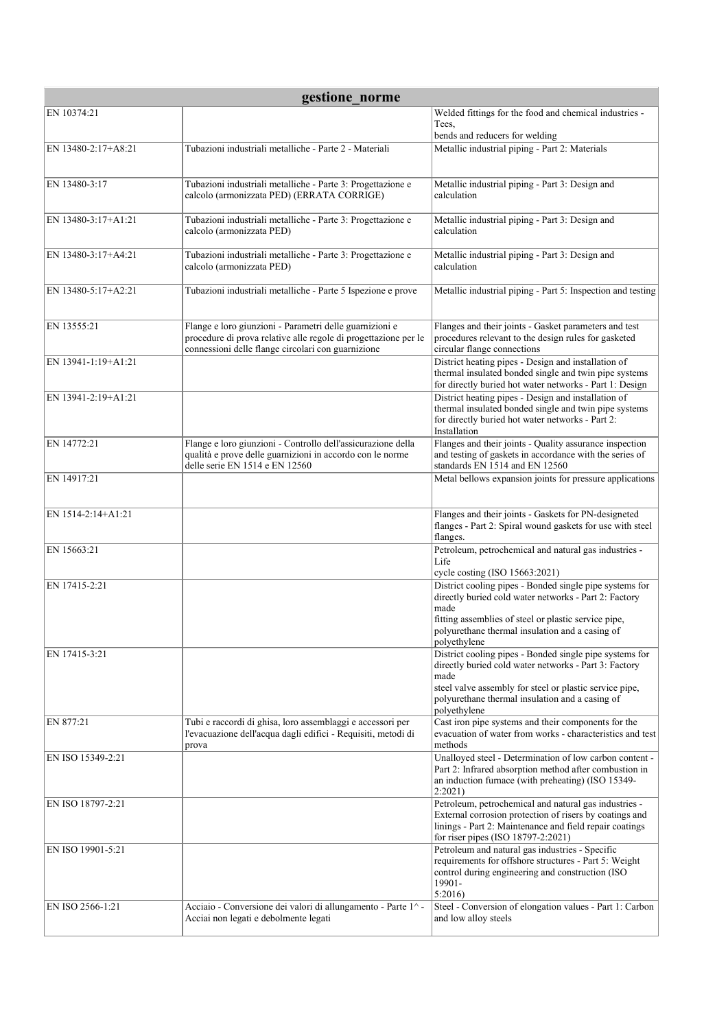| gestione norme      |                                                                 |                                                                                                                    |  |
|---------------------|-----------------------------------------------------------------|--------------------------------------------------------------------------------------------------------------------|--|
| EN 10374:21         |                                                                 | Welded fittings for the food and chemical industries -                                                             |  |
|                     |                                                                 | Tees,<br>bends and reducers for welding                                                                            |  |
| EN 13480-2:17+A8:21 | Tubazioni industriali metalliche - Parte 2 - Materiali          | Metallic industrial piping - Part 2: Materials                                                                     |  |
|                     |                                                                 |                                                                                                                    |  |
| EN 13480-3:17       | Tubazioni industriali metalliche - Parte 3: Progettazione e     | Metallic industrial piping - Part 3: Design and                                                                    |  |
|                     | calcolo (armonizzata PED) (ERRATA CORRIGE)                      | calculation                                                                                                        |  |
| EN 13480-3:17+A1:21 | Tubazioni industriali metalliche - Parte 3: Progettazione e     | Metallic industrial piping - Part 3: Design and                                                                    |  |
|                     | calcolo (armonizzata PED)                                       | calculation                                                                                                        |  |
| EN 13480-3:17+A4:21 | Tubazioni industriali metalliche - Parte 3: Progettazione e     | Metallic industrial piping - Part 3: Design and                                                                    |  |
|                     | calcolo (armonizzata PED)                                       | calculation                                                                                                        |  |
| EN 13480-5:17+A2:21 | Tubazioni industriali metalliche - Parte 5 Ispezione e prove    | Metallic industrial piping - Part 5: Inspection and testing                                                        |  |
|                     |                                                                 |                                                                                                                    |  |
| EN 13555:21         | Flange e loro giunzioni - Parametri delle guarnizioni e         | Flanges and their joints - Gasket parameters and test                                                              |  |
|                     | procedure di prova relative alle regole di progettazione per le | procedures relevant to the design rules for gasketed                                                               |  |
|                     | connessioni delle flange circolari con guarnizione              | circular flange connections<br>District heating pipes - Design and installation of                                 |  |
| EN 13941-1:19+A1:21 |                                                                 | thermal insulated bonded single and twin pipe systems                                                              |  |
|                     |                                                                 | for directly buried hot water networks - Part 1: Design                                                            |  |
| EN 13941-2:19+A1:21 |                                                                 | District heating pipes - Design and installation of<br>thermal insulated bonded single and twin pipe systems       |  |
|                     |                                                                 | for directly buried hot water networks - Part 2:<br>Installation                                                   |  |
| EN 14772:21         | Flange e loro giunzioni - Controllo dell'assicurazione della    | Flanges and their joints - Quality assurance inspection                                                            |  |
|                     | qualità e prove delle guarnizioni in accordo con le norme       | and testing of gaskets in accordance with the series of                                                            |  |
| EN 14917:21         | delle serie EN 1514 e EN 12560                                  | standards EN 1514 and EN 12560<br>Metal bellows expansion joints for pressure applications                         |  |
|                     |                                                                 |                                                                                                                    |  |
| EN 1514-2:14+A1:21  |                                                                 | Flanges and their joints - Gaskets for PN-designeted                                                               |  |
|                     |                                                                 | flanges - Part 2: Spiral wound gaskets for use with steel                                                          |  |
| EN 15663:21         |                                                                 | flanges.<br>Petroleum, petrochemical and natural gas industries -                                                  |  |
|                     |                                                                 | Life                                                                                                               |  |
| EN 17415-2:21       |                                                                 | cycle costing (ISO 15663:2021)<br>District cooling pipes - Bonded single pipe systems for                          |  |
|                     |                                                                 | directly buried cold water networks - Part 2: Factory                                                              |  |
|                     |                                                                 | made<br>fitting assemblies of steel or plastic service pipe,                                                       |  |
|                     |                                                                 | polyurethane thermal insulation and a casing of                                                                    |  |
| EN 17415-3:21       |                                                                 | polyethylene<br>District cooling pipes - Bonded single pipe systems for                                            |  |
|                     |                                                                 | directly buried cold water networks - Part 3: Factory                                                              |  |
|                     |                                                                 | made<br>steel valve assembly for steel or plastic service pipe,                                                    |  |
|                     |                                                                 | polyurethane thermal insulation and a casing of                                                                    |  |
| EN 877:21           | Tubi e raccordi di ghisa, loro assemblaggi e accessori per      | polyethylene<br>Cast iron pipe systems and their components for the                                                |  |
|                     | l'evacuazione dell'acqua dagli edifici - Requisiti, metodi di   | evacuation of water from works - characteristics and test                                                          |  |
| EN ISO 15349-2:21   | prova                                                           | methods<br>Unalloyed steel - Determination of low carbon content -                                                 |  |
|                     |                                                                 | Part 2: Infrared absorption method after combustion in                                                             |  |
|                     |                                                                 | an induction furnace (with preheating) (ISO 15349-<br>2:2021                                                       |  |
| EN ISO 18797-2:21   |                                                                 | Petroleum, petrochemical and natural gas industries -                                                              |  |
|                     |                                                                 | External corrosion protection of risers by coatings and<br>linings - Part 2: Maintenance and field repair coatings |  |
|                     |                                                                 | for riser pipes (ISO 18797-2:2021)                                                                                 |  |
| EN ISO 19901-5:21   |                                                                 | Petroleum and natural gas industries - Specific<br>requirements for offshore structures - Part 5: Weight           |  |
|                     |                                                                 | control during engineering and construction (ISO                                                                   |  |
|                     |                                                                 | 19901-<br>5:2016                                                                                                   |  |
| EN ISO 2566-1:21    | Acciaio - Conversione dei valori di allungamento - Parte 1^ -   | Steel - Conversion of elongation values - Part 1: Carbon                                                           |  |
|                     | Acciai non legati e debolmente legati                           | and low alloy steels                                                                                               |  |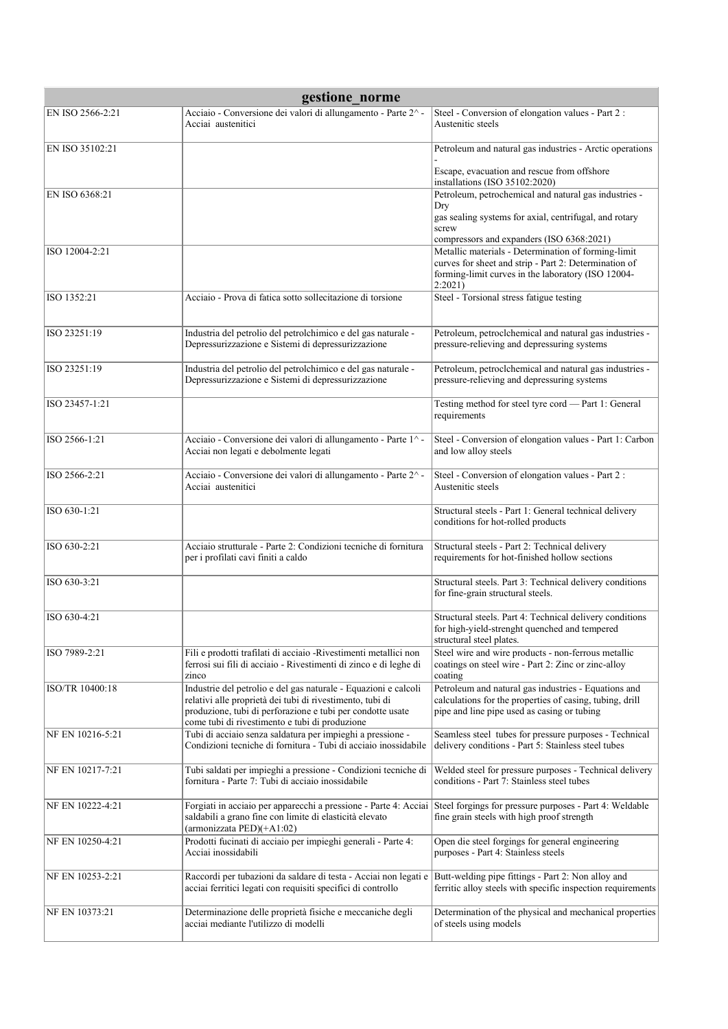| gestione_norme   |                                                                                                                                                                                                                                              |                                                                                                                                                                               |
|------------------|----------------------------------------------------------------------------------------------------------------------------------------------------------------------------------------------------------------------------------------------|-------------------------------------------------------------------------------------------------------------------------------------------------------------------------------|
| EN ISO 2566-2:21 | Acciaio - Conversione dei valori di allungamento - Parte 2^-<br>Acciai austenitici                                                                                                                                                           | Steel - Conversion of elongation values - Part 2 :<br>Austenitic steels                                                                                                       |
| EN ISO 35102:21  |                                                                                                                                                                                                                                              | Petroleum and natural gas industries - Arctic operations                                                                                                                      |
|                  |                                                                                                                                                                                                                                              | Escape, evacuation and rescue from offshore<br>installations (ISO 35102:2020)                                                                                                 |
| EN ISO 6368:21   |                                                                                                                                                                                                                                              | Petroleum, petrochemical and natural gas industries -<br>Dry<br>gas sealing systems for axial, centrifugal, and rotary                                                        |
|                  |                                                                                                                                                                                                                                              | screw<br>compressors and expanders (ISO 6368:2021)                                                                                                                            |
| ISO 12004-2:21   |                                                                                                                                                                                                                                              | Metallic materials - Determination of forming-limit<br>curves for sheet and strip - Part 2: Determination of<br>forming-limit curves in the laboratory (ISO 12004-<br>2:2021) |
| ISO 1352:21      | Acciaio - Prova di fatica sotto sollecitazione di torsione                                                                                                                                                                                   | Steel - Torsional stress fatigue testing                                                                                                                                      |
| ISO 23251:19     | Industria del petrolio del petrolchimico e del gas naturale -<br>Depressurizzazione e Sistemi di depressurizzazione                                                                                                                          | Petroleum, petroclchemical and natural gas industries -<br>pressure-relieving and depressuring systems                                                                        |
| ISO 23251:19     | Industria del petrolio del petrolchimico e del gas naturale -<br>Depressurizzazione e Sistemi di depressurizzazione                                                                                                                          | Petroleum, petroclchemical and natural gas industries -<br>pressure-relieving and depressuring systems                                                                        |
| ISO 23457-1:21   |                                                                                                                                                                                                                                              | Testing method for steel tyre cord - Part 1: General<br>requirements                                                                                                          |
| ISO 2566-1:21    | Acciaio - Conversione dei valori di allungamento - Parte 1^ -<br>Acciai non legati e debolmente legati                                                                                                                                       | Steel - Conversion of elongation values - Part 1: Carbon<br>and low alloy steels                                                                                              |
| ISO 2566-2:21    | Acciaio - Conversione dei valori di allungamento - Parte 2^-<br>Acciai austenitici                                                                                                                                                           | Steel - Conversion of elongation values - Part 2 :<br>Austenitic steels                                                                                                       |
| ISO 630-1:21     |                                                                                                                                                                                                                                              | Structural steels - Part 1: General technical delivery<br>conditions for hot-rolled products                                                                                  |
| ISO 630-2:21     | Acciaio strutturale - Parte 2: Condizioni tecniche di fornitura<br>per i profilati cavi finiti a caldo                                                                                                                                       | Structural steels - Part 2: Technical delivery<br>requirements for hot-finished hollow sections                                                                               |
| ISO 630-3:21     |                                                                                                                                                                                                                                              | Structural steels. Part 3: Technical delivery conditions<br>for fine-grain structural steels.                                                                                 |
| ISO 630-4:21     |                                                                                                                                                                                                                                              | Structural steels. Part 4: Technical delivery conditions<br>for high-yield-strenght quenched and tempered<br>structural steel plates.                                         |
| ISO 7989-2:21    | Fili e prodotti trafilati di acciaio -Rivestimenti metallici non<br>ferrosi sui fili di acciaio - Rivestimenti di zinco e di leghe di<br>zinco                                                                                               | Steel wire and wire products - non-ferrous metallic<br>coatings on steel wire - Part 2: Zinc or zinc-alloy<br>coating                                                         |
| ISO/TR 10400:18  | Industrie del petrolio e del gas naturale - Equazioni e calcoli<br>relativi alle proprietà dei tubi di rivestimento, tubi di<br>produzione, tubi di perforazione e tubi per condotte usate<br>come tubi di rivestimento e tubi di produzione | Petroleum and natural gas industries - Equations and<br>calculations for the properties of casing, tubing, drill<br>pipe and line pipe used as casing or tubing               |
| NF EN 10216-5:21 | Tubi di acciaio senza saldatura per impieghi a pressione -<br>Condizioni tecniche di fornitura - Tubi di acciaio inossidabile                                                                                                                | Seamless steel tubes for pressure purposes - Technical<br>delivery conditions - Part 5: Stainless steel tubes                                                                 |
| NF EN 10217-7:21 | Tubi saldati per impieghi a pressione - Condizioni tecniche di<br>fornitura - Parte 7: Tubi di acciaio inossidabile                                                                                                                          | Welded steel for pressure purposes - Technical delivery<br>conditions - Part 7: Stainless steel tubes                                                                         |
| NF EN 10222-4:21 | Forgiati in acciaio per apparecchi a pressione - Parte 4: Acciai<br>saldabili a grano fine con limite di elasticità elevato<br>(armonizzata PED)(+A1:02)                                                                                     | Steel forgings for pressure purposes - Part 4: Weldable<br>fine grain steels with high proof strength                                                                         |
| NF EN 10250-4:21 | Prodotti fucinati di acciaio per impieghi generali - Parte 4:<br>Acciai inossidabili                                                                                                                                                         | Open die steel forgings for general engineering<br>purposes - Part 4: Stainless steels                                                                                        |
| NF EN 10253-2:21 | Raccordi per tubazioni da saldare di testa - Acciai non legati e<br>acciai ferritici legati con requisiti specifici di controllo                                                                                                             | Butt-welding pipe fittings - Part 2: Non alloy and<br>ferritic alloy steels with specific inspection requirements                                                             |
| NF EN 10373:21   | Determinazione delle proprietà fisiche e meccaniche degli<br>acciai mediante l'utilizzo di modelli                                                                                                                                           | Determination of the physical and mechanical properties<br>of steels using models                                                                                             |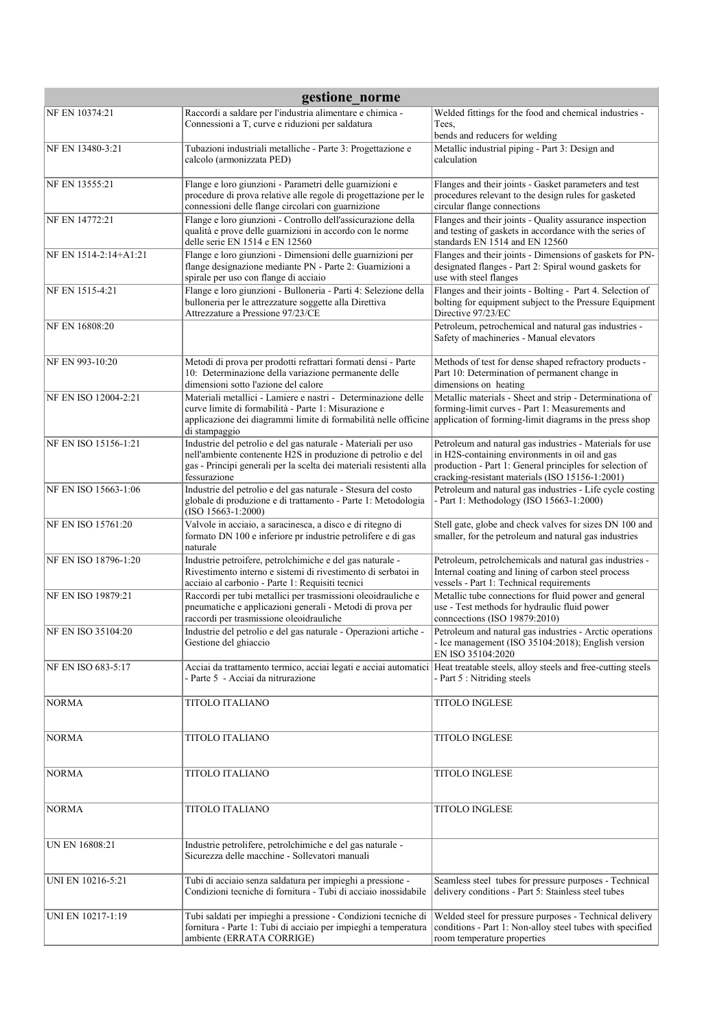| gestione norme        |                                                                                                                                                                                                                      |                                                                                                                                                                                                                          |
|-----------------------|----------------------------------------------------------------------------------------------------------------------------------------------------------------------------------------------------------------------|--------------------------------------------------------------------------------------------------------------------------------------------------------------------------------------------------------------------------|
| NF EN 10374:21        | Raccordi a saldare per l'industria alimentare e chimica -<br>Connessioni a T, curve e riduzioni per saldatura                                                                                                        | Welded fittings for the food and chemical industries -<br>Tees,<br>bends and reducers for welding                                                                                                                        |
| NF EN 13480-3:21      | Tubazioni industriali metalliche - Parte 3: Progettazione e<br>calcolo (armonizzata PED)                                                                                                                             | Metallic industrial piping - Part 3: Design and<br>calculation                                                                                                                                                           |
| NF EN 13555:21        | Flange e loro giunzioni - Parametri delle guarnizioni e<br>procedure di prova relative alle regole di progettazione per le<br>connessioni delle flange circolari con guarnizione                                     | Flanges and their joints - Gasket parameters and test<br>procedures relevant to the design rules for gasketed<br>circular flange connections                                                                             |
| NF EN 14772:21        | Flange e loro giunzioni - Controllo dell'assicurazione della<br>qualità e prove delle guarnizioni in accordo con le norme<br>delle serie EN 1514 e EN 12560                                                          | Flanges and their joints - Quality assurance inspection<br>and testing of gaskets in accordance with the series of<br>standards EN 1514 and EN 12560                                                                     |
| NF EN 1514-2:14+A1:21 | Flange e loro giunzioni - Dimensioni delle guarnizioni per<br>flange designazione mediante PN - Parte 2: Guarnizioni a<br>spirale per uso con flange di acciaio                                                      | Flanges and their joints - Dimensions of gaskets for PN-<br>designated flanges - Part 2: Spiral wound gaskets for<br>use with steel flanges                                                                              |
| NF EN 1515-4:21       | Flange e loro giunzioni - Bulloneria - Parti 4: Selezione della<br>bulloneria per le attrezzature soggette alla Direttiva<br>Attrezzature a Pressione 97/23/CE                                                       | Flanges and their joints - Bolting - Part 4. Selection of<br>bolting for equipment subject to the Pressure Equipment<br>Directive 97/23/EC                                                                               |
| NF EN 16808:20        |                                                                                                                                                                                                                      | Petroleum, petrochemical and natural gas industries -<br>Safety of machineries - Manual elevators                                                                                                                        |
| NF EN 993-10:20       | Metodi di prova per prodotti refrattari formati densi - Parte<br>10: Determinazione della variazione permanente delle<br>dimensioni sotto l'azione del calore                                                        | Methods of test for dense shaped refractory products -<br>Part 10: Determination of permanent change in<br>dimensions on heating                                                                                         |
| NF EN ISO 12004-2:21  | Materiali metallici - Lamiere e nastri - Determinazione delle<br>curve limite di formabilità - Parte 1: Misurazione e<br>applicazione dei diagrammi limite di formabilità nelle officine<br>di stampaggio            | Metallic materials - Sheet and strip - Determinationa of<br>forming-limit curves - Part 1: Measurements and<br>application of forming-limit diagrams in the press shop                                                   |
| NF EN ISO 15156-1:21  | Industrie del petrolio e del gas naturale - Materiali per uso<br>nell'ambiente contenente H2S in produzione di petrolio e del<br>gas - Principi generali per la scelta dei materiali resistenti alla<br>fessurazione | Petroleum and natural gas industries - Materials for use<br>in H2S-containing environments in oil and gas<br>production - Part 1: General principles for selection of<br>cracking-resistant materials (ISO 15156-1:2001) |
| NF EN ISO 15663-1:06  | Industrie del petrolio e del gas naturale - Stesura del costo<br>globale di produzione e di trattamento - Parte 1: Metodologia<br>$(ISO 15663-1:2000)$                                                               | Petroleum and natural gas industries - Life cycle costing<br>- Part 1: Methodology (ISO 15663-1:2000)                                                                                                                    |
| NF EN ISO 15761:20    | Valvole in acciaio, a saracinesca, a disco e di ritegno di<br>formato DN 100 e inferiore pr industrie petrolifere e di gas<br>naturale                                                                               | Stell gate, globe and check valves for sizes DN 100 and<br>smaller, for the petroleum and natural gas industries                                                                                                         |
| NF EN ISO 18796-1:20  | Industrie petroifere, petrolchimiche e del gas naturale -<br>Rivestimento interno e sistemi di rivestimento di serbatoi in<br>acciaio al carbonio - Parte 1: Requisiti tecnici                                       | Petroleum, petrolchemicals and natural gas industries -<br>Internal coating and lining of carbon steel process<br>vessels - Part 1: Technical requirements                                                               |
| NF EN ISO 19879:21    | Raccordi per tubi metallici per trasmissioni oleoidrauliche e<br>pneumatiche e applicazioni generali - Metodi di prova per<br>raccordi per trasmissione oleoidrauliche                                               | Metallic tube connections for fluid power and general<br>use - Test methods for hydraulic fluid power<br>connections (ISO 19879:2010)                                                                                    |
| NF EN ISO 35104:20    | Industrie del petrolio e del gas naturale - Operazioni artiche -<br>Gestione del ghiaccio                                                                                                                            | Petroleum and natural gas industries - Arctic operations<br>- Ice management (ISO 35104:2018); English version<br>EN ISO 35104:2020                                                                                      |
| NF EN ISO 683-5:17    | Acciai da trattamento termico, acciai legati e acciai automatici Heat treatable steels, alloy steels and free-cutting steels<br>- Parte 5 - Acciai da nitrurazione                                                   | - Part 5 : Nitriding steels                                                                                                                                                                                              |
| <b>NORMA</b>          | TITOLO ITALIANO                                                                                                                                                                                                      | <b>TITOLO INGLESE</b>                                                                                                                                                                                                    |
| <b>NORMA</b>          | <b>TITOLO ITALIANO</b>                                                                                                                                                                                               | <b>TITOLO INGLESE</b>                                                                                                                                                                                                    |
| <b>NORMA</b>          | <b>TITOLO ITALIANO</b>                                                                                                                                                                                               | TITOLO INGLESE                                                                                                                                                                                                           |
| <b>NORMA</b>          | TITOLO ITALIANO                                                                                                                                                                                                      | TITOLO INGLESE                                                                                                                                                                                                           |
| UN EN 16808:21        | Industrie petrolifere, petrolchimiche e del gas naturale -<br>Sicurezza delle macchine - Sollevatori manuali                                                                                                         |                                                                                                                                                                                                                          |
| UNI EN 10216-5:21     | Tubi di acciaio senza saldatura per impieghi a pressione -<br>Condizioni tecniche di fornitura - Tubi di acciaio inossidabile                                                                                        | Seamless steel tubes for pressure purposes - Technical<br>delivery conditions - Part 5: Stainless steel tubes                                                                                                            |
| UNI EN 10217-1:19     | Tubi saldati per impieghi a pressione - Condizioni tecniche di<br>fornitura - Parte 1: Tubi di acciaio per impieghi a temperatura<br>ambiente (ERRATA CORRIGE)                                                       | Welded steel for pressure purposes - Technical delivery<br>conditions - Part 1: Non-alloy steel tubes with specified<br>room temperature properties                                                                      |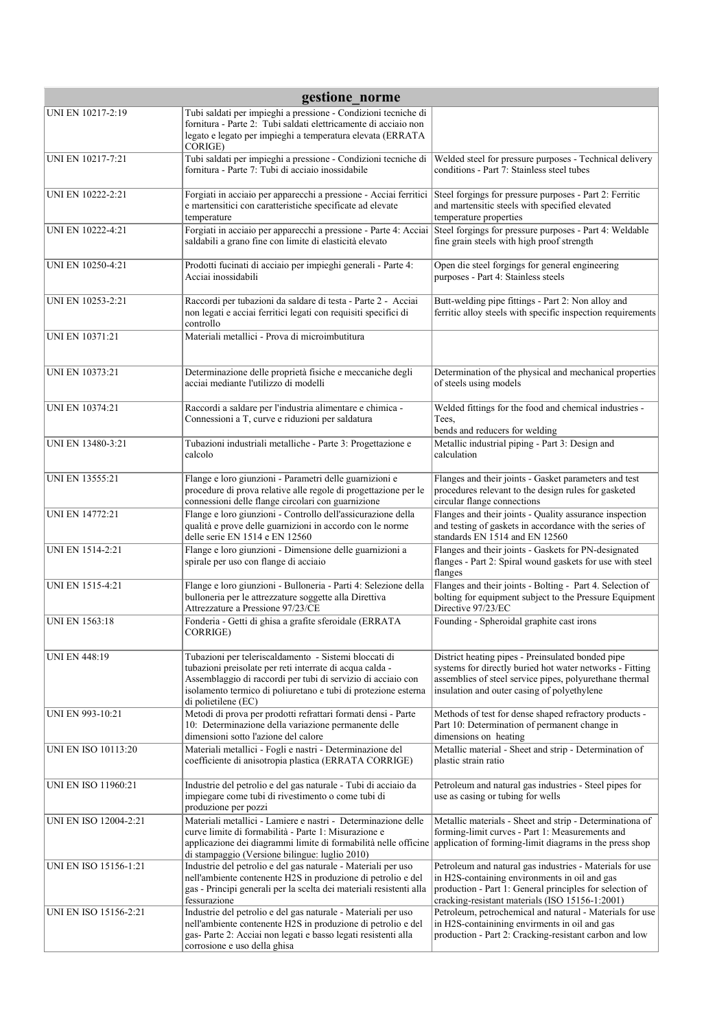| gestione norme             |                                                                                                                                                                                                                                                                            |                                                                                                                                                                                                                          |
|----------------------------|----------------------------------------------------------------------------------------------------------------------------------------------------------------------------------------------------------------------------------------------------------------------------|--------------------------------------------------------------------------------------------------------------------------------------------------------------------------------------------------------------------------|
| UNI EN 10217-2:19          | Tubi saldati per impieghi a pressione - Condizioni tecniche di<br>fornitura - Parte 2: Tubi saldati elettricamente di acciaio non<br>legato e legato per impieghi a temperatura elevata (ERRATA<br>CORIGE)                                                                 |                                                                                                                                                                                                                          |
| UNI EN 10217-7:21          | Tubi saldati per impieghi a pressione - Condizioni tecniche di<br>fornitura - Parte 7: Tubi di acciaio inossidabile                                                                                                                                                        | Welded steel for pressure purposes - Technical delivery<br>conditions - Part 7: Stainless steel tubes                                                                                                                    |
| UNI EN 10222-2:21          | Forgiati in acciaio per apparecchi a pressione - Acciai ferritici<br>e martensitici con caratteristiche specificate ad elevate<br>temperature                                                                                                                              | Steel forgings for pressure purposes - Part 2: Ferritic<br>and martensitic steels with specified elevated<br>temperature properties                                                                                      |
| UNI EN 10222-4:21          | Forgiati in acciaio per apparecchi a pressione - Parte 4: Acciai<br>saldabili a grano fine con limite di elasticità elevato                                                                                                                                                | Steel forgings for pressure purposes - Part 4: Weldable<br>fine grain steels with high proof strength                                                                                                                    |
| UNI EN 10250-4:21          | Prodotti fucinati di acciaio per impieghi generali - Parte 4:<br>Acciai inossidabili                                                                                                                                                                                       | Open die steel forgings for general engineering<br>purposes - Part 4: Stainless steels                                                                                                                                   |
| UNI EN 10253-2:21          | Raccordi per tubazioni da saldare di testa - Parte 2 - Acciai<br>non legati e acciai ferritici legati con requisiti specifici di<br>controllo                                                                                                                              | Butt-welding pipe fittings - Part 2: Non alloy and<br>ferritic alloy steels with specific inspection requirements                                                                                                        |
| UNI EN 10371:21            | Materiali metallici - Prova di microimbutitura                                                                                                                                                                                                                             |                                                                                                                                                                                                                          |
| <b>UNI EN 10373:21</b>     | Determinazione delle proprietà fisiche e meccaniche degli<br>acciai mediante l'utilizzo di modelli                                                                                                                                                                         | Determination of the physical and mechanical properties<br>of steels using models                                                                                                                                        |
| UNI EN 10374:21            | Raccordi a saldare per l'industria alimentare e chimica -<br>Connessioni a T, curve e riduzioni per saldatura                                                                                                                                                              | Welded fittings for the food and chemical industries -<br>Tees,<br>bends and reducers for welding                                                                                                                        |
| UNI EN 13480-3:21          | Tubazioni industriali metalliche - Parte 3: Progettazione e<br>calcolo                                                                                                                                                                                                     | Metallic industrial piping - Part 3: Design and<br>calculation                                                                                                                                                           |
| <b>UNI EN 13555:21</b>     | Flange e loro giunzioni - Parametri delle guarnizioni e<br>procedure di prova relative alle regole di progettazione per le<br>connessioni delle flange circolari con guarnizione                                                                                           | Flanges and their joints - Gasket parameters and test<br>procedures relevant to the design rules for gasketed<br>circular flange connections                                                                             |
| <b>UNI EN 14772:21</b>     | Flange e loro giunzioni - Controllo dell'assicurazione della<br>qualità e prove delle guarnizioni in accordo con le norme<br>delle serie EN 1514 e EN 12560                                                                                                                | Flanges and their joints - Quality assurance inspection<br>and testing of gaskets in accordance with the series of<br>standards EN 1514 and EN 12560                                                                     |
| <b>UNI EN 1514-2:21</b>    | Flange e loro giunzioni - Dimensione delle guarnizioni a<br>spirale per uso con flange di acciaio                                                                                                                                                                          | Flanges and their joints - Gaskets for PN-designated<br>flanges - Part 2: Spiral wound gaskets for use with steel<br>flanges                                                                                             |
| UNI EN 1515-4:21           | Flange e loro giunzioni - Bulloneria - Parti 4: Selezione della<br>bulloneria per le attrezzature soggette alla Direttiva<br>Attrezzature a Pressione 97/23/CE                                                                                                             | Flanges and their joints - Bolting - Part 4. Selection of<br>bolting for equipment subject to the Pressure Equipment<br>Directive 97/23/EC                                                                               |
| <b>UNI EN 1563:18</b>      | Fonderia - Getti di ghisa a grafite sferoidale (ERRATA<br>CORRIGE)                                                                                                                                                                                                         | Founding - Spheroidal graphite cast irons                                                                                                                                                                                |
| <b>UNI EN 448:19</b>       | Tubazioni per teleriscaldamento - Sistemi bloccati di<br>tubazioni preisolate per reti interrate di acqua calda -<br>Assemblaggio di raccordi per tubi di servizio di acciaio con<br>isolamento termico di poliuretano e tubi di protezione esterna<br>di polietilene (EC) | District heating pipes - Preinsulated bonded pipe<br>systems for directly buried hot water networks - Fitting<br>assemblies of steel service pipes, polyurethane thermal<br>insulation and outer casing of polyethylene  |
| UNI EN 993-10:21           | Metodi di prova per prodotti refrattari formati densi - Parte<br>10: Determinazione della variazione permanente delle<br>dimensioni sotto l'azione del calore                                                                                                              | Methods of test for dense shaped refractory products -<br>Part 10: Determination of permanent change in<br>dimensions on heating                                                                                         |
| <b>UNI EN ISO 10113:20</b> | Materiali metallici - Fogli e nastri - Determinazione del<br>coefficiente di anisotropia plastica (ERRATA CORRIGE)                                                                                                                                                         | Metallic material - Sheet and strip - Determination of<br>plastic strain ratio                                                                                                                                           |
| UNI EN ISO 11960:21        | Industrie del petrolio e del gas naturale - Tubi di acciaio da<br>impiegare come tubi di rivestimento o come tubi di<br>produzione per pozzi                                                                                                                               | Petroleum and natural gas industries - Steel pipes for<br>use as casing or tubing for wells                                                                                                                              |
| UNI EN ISO 12004-2:21      | Materiali metallici - Lamiere e nastri - Determinazione delle<br>curve limite di formabilità - Parte 1: Misurazione e<br>applicazione dei diagrammi limite di formabilità nelle officine<br>di stampaggio (Versione bilingue: luglio 2010)                                 | Metallic materials - Sheet and strip - Determinationa of<br>forming-limit curves - Part 1: Measurements and<br>application of forming-limit diagrams in the press shop                                                   |
| UNI EN ISO 15156-1:21      | Industrie del petrolio e del gas naturale - Materiali per uso<br>nell'ambiente contenente H2S in produzione di petrolio e del<br>gas - Principi generali per la scelta dei materiali resistenti alla<br>fessurazione                                                       | Petroleum and natural gas industries - Materials for use<br>in H2S-containing environments in oil and gas<br>production - Part 1: General principles for selection of<br>cracking-resistant materials (ISO 15156-1:2001) |
| UNI EN ISO 15156-2:21      | Industrie del petrolio e del gas naturale - Materiali per uso<br>nell'ambiente contenente H2S in produzione di petrolio e del<br>gas-Parte 2: Acciai non legati e basso legati resistenti alla<br>corrosione e uso della ghisa                                             | Petroleum, petrochemical and natural - Materials for use<br>in H2S-containining envirments in oil and gas<br>production - Part 2: Cracking-resistant carbon and low                                                      |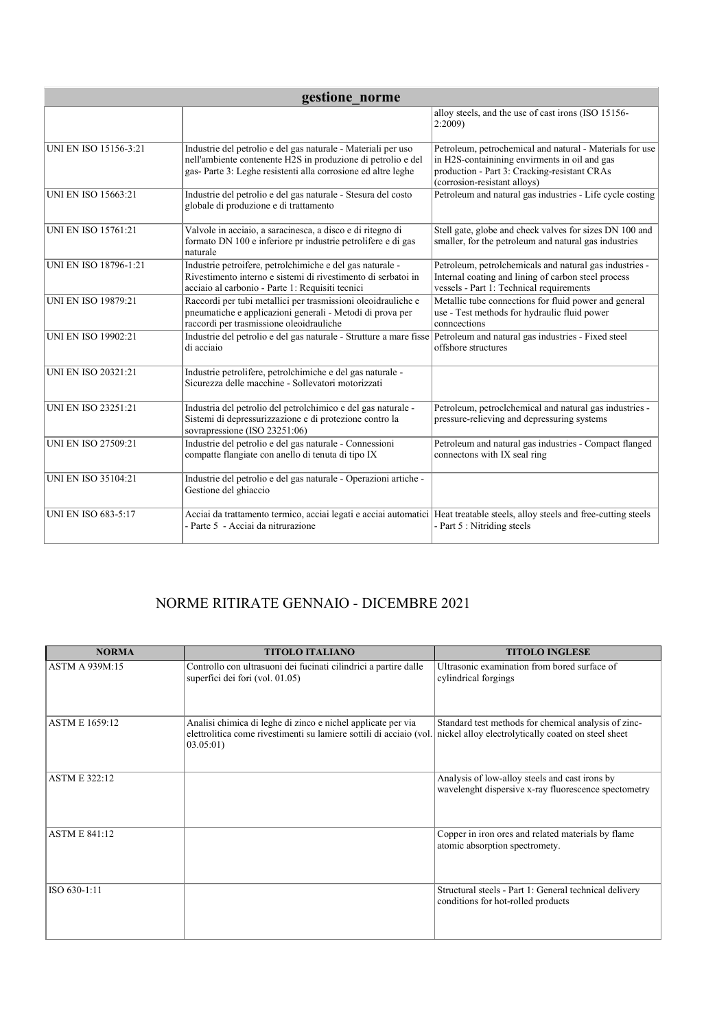| gestione norme               |                                                                                                                                                                                               |                                                                                                                                                                                           |
|------------------------------|-----------------------------------------------------------------------------------------------------------------------------------------------------------------------------------------------|-------------------------------------------------------------------------------------------------------------------------------------------------------------------------------------------|
|                              |                                                                                                                                                                                               | alloy steels, and the use of cast irons (ISO 15156-<br>2:2009                                                                                                                             |
| <b>UNI EN ISO 15156-3:21</b> | Industrie del petrolio e del gas naturale - Materiali per uso<br>nell'ambiente contenente H2S in produzione di petrolio e del<br>gas-Parte 3: Leghe resistenti alla corrosione ed altre leghe | Petroleum, petrochemical and natural - Materials for use<br>in H2S-containining envirments in oil and gas<br>production - Part 3: Cracking-resistant CRAs<br>(corrosion-resistant alloys) |
| <b>UNI EN ISO 15663:21</b>   | Industrie del petrolio e del gas naturale - Stesura del costo<br>globale di produzione e di trattamento                                                                                       | Petroleum and natural gas industries - Life cycle costing                                                                                                                                 |
| <b>UNI EN ISO 15761:21</b>   | Valvole in acciaio, a saracinesca, a disco e di ritegno di<br>formato DN 100 e inferiore pr industrie petrolifere e di gas<br>naturale                                                        | Stell gate, globe and check valves for sizes DN 100 and<br>smaller, for the petroleum and natural gas industries                                                                          |
| UNI EN ISO 18796-1:21        | Industrie petroifere, petrolchimiche e del gas naturale -<br>Rivestimento interno e sistemi di rivestimento di serbatoi in<br>acciaio al carbonio - Parte 1: Requisiti tecnici                | Petroleum, petrolchemicals and natural gas industries -<br>Internal coating and lining of carbon steel process<br>vessels - Part 1: Technical requirements                                |
| <b>UNI EN ISO 19879:21</b>   | Raccordi per tubi metallici per trasmissioni oleoidrauliche e<br>pneumatiche e applicazioni generali - Metodi di prova per<br>raccordi per trasmissione oleoidrauliche                        | Metallic tube connections for fluid power and general<br>use - Test methods for hydraulic fluid power<br>conneections                                                                     |
| <b>UNI EN ISO 19902:21</b>   | Industrie del petrolio e del gas naturale - Strutture a mare fisse Petroleum and natural gas industries - Fixed steel<br>di acciaio                                                           | offshore structures                                                                                                                                                                       |
| <b>UNI EN ISO 20321:21</b>   | Industrie petrolifere, petrolchimiche e del gas naturale -<br>Sicurezza delle macchine - Sollevatori motorizzati                                                                              |                                                                                                                                                                                           |
| <b>UNI EN ISO 23251:21</b>   | Industria del petrolio del petrolchimico e del gas naturale -<br>Sistemi di depressurizzazione e di protezione contro la<br>sovrapressione (ISO 23251:06)                                     | Petroleum, petroclchemical and natural gas industries -<br>pressure-relieving and depressuring systems                                                                                    |
| <b>UNI EN ISO 27509:21</b>   | Industrie del petrolio e del gas naturale - Connessioni<br>compatte flangiate con anello di tenuta di tipo IX                                                                                 | Petroleum and natural gas industries - Compact flanged<br>connectons with IX seal ring                                                                                                    |
| UNI EN ISO 35104:21          | Industrie del petrolio e del gas naturale - Operazioni artiche -<br>Gestione del ghiaccio                                                                                                     |                                                                                                                                                                                           |
| <b>UNI EN ISO 683-5:17</b>   | Acciai da trattamento termico, acciai legati e acciai automatici Heat treatable steels, alloy steels and free-cutting steels<br>- Parte 5 - Acciai da nitrurazione                            | - Part 5 : Nitriding steels                                                                                                                                                               |

## NORME RITIRATE GENNAIO - DICEMBRE 2021

| <b>NORMA</b>          | <b>TITOLO ITALIANO</b>                                                                                                                           | <b>TITOLO INGLESE</b>                                                                                       |
|-----------------------|--------------------------------------------------------------------------------------------------------------------------------------------------|-------------------------------------------------------------------------------------------------------------|
| <b>ASTM A 939M:15</b> | Controllo con ultrasuoni dei fucinati cilindrici a partire dalle<br>superfici dei fori (vol. 01.05)                                              | Ultrasonic examination from bored surface of<br>cylindrical forgings                                        |
| <b>ASTM E 1659:12</b> | Analisi chimica di leghe di zinco e nichel applicate per via<br>elettrolitica come rivestimenti su lamiere sottili di acciaio (vol.<br>03.05:01) | Standard test methods for chemical analysis of zinc-<br>nickel alloy electrolytically coated on steel sheet |
| <b>ASTM E 322:12</b>  |                                                                                                                                                  | Analysis of low-alloy steels and cast irons by<br>wavelenght dispersive x-ray fluorescence spectometry      |
| <b>ASTM E 841:12</b>  |                                                                                                                                                  | Copper in iron ores and related materials by flame<br>atomic absorption spectromety.                        |
| ISO 630-1:11          |                                                                                                                                                  | Structural steels - Part 1: General technical delivery<br>conditions for hot-rolled products                |